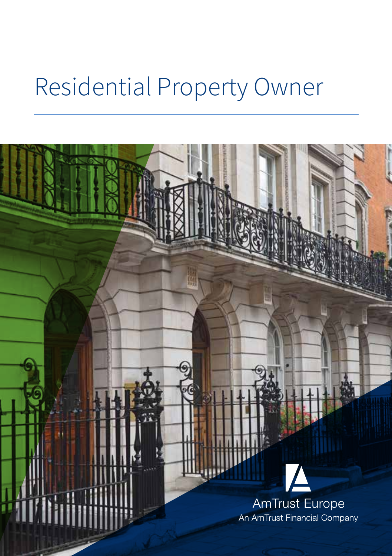# Residential Property Owner

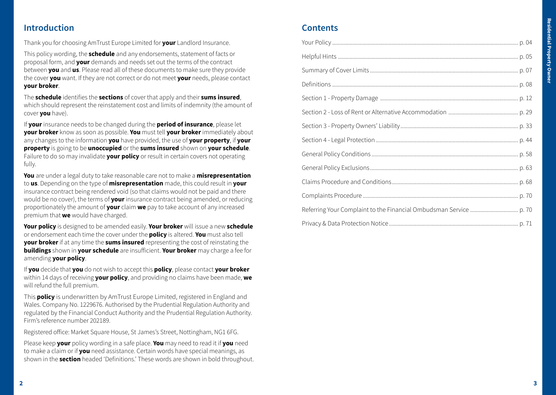# **Introduction**

Thank you for choosing AmTrust Europe Limited for **your** Landlord Insurance.

This policy wording, the **schedule** and any endorsements, statement of facts or proposal form, and **your** demands and needs set out the terms of the contract between **you** and **us**. Please read all of these documents to make sure they provide the cover **you** want. If they are not correct or do not meet **your** needs, please contact **your broker**.

The **schedule** identifies the **sections** of cover that apply and their **sums insured**, which should represent the reinstatement cost and limits of indemnity (the amount of cover **you** have).

If **your** insurance needs to be changed during the **period of insurance**, please let **your broker** know as soon as possible. **You** must tell **your broker** immediately about any changes to the information **you** have provided, the use of **your property**, if **your property** is going to be **unoccupied** or the **sums insured** shown on **your schedule**. Failure to do so may invalidate **your policy** or result in certain covers not operating fully.

**You** are under a legal duty to take reasonable care not to make a **misrepresentation** to **us**. Depending on the type of **misrepresentation** made, this could result in **your** insurance contract being rendered void (so that claims would not be paid and there would be no cover), the terms of **your** insurance contract being amended, or reducing proportionately the amount of **your** claim **we** pay to take account of any increased premium that **we** would have charged.

**Your policy** is designed to be amended easily. **Your broker** will issue a new **schedule**  or endorsement each time the cover under the **policy** is altered. **You** must also tell **your broker** if at any time the **sums insured** representing the cost of reinstating the **buildings** shown in **your schedule** are insufficient. **Your broker** may charge a fee for amending **your policy**.

If **you** decide that **you** do not wish to accept this **policy**, please contact **your broker**  within 14 days of receiving **your policy**, and providing no claims have been made, **we** will refund the full premium.

This **policy** is underwritten by AmTrust Europe Limited, registered in England and Wales. Company No. 1229676. Authorised by the Prudential Regulation Authority and regulated by the Financial Conduct Authority and the Prudential Regulation Authority. Firm's reference number 202189.

Registered office: Market Square House, St James's Street, Nottingham, NG1 6FG.

Please keep **your** policy wording in a safe place. **You** may need to read it if **you** need to make a claim or if **you** need assistance. Certain words have special meanings, as shown in the **section** headed 'Definitions.' These words are shown in bold throughout.

# **Contents**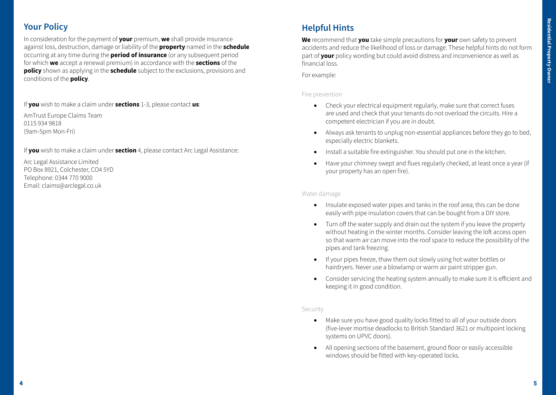# **Your Policy**

In consideration for the payment of **your** premium, **we** shall provide insurance against loss, destruction, damage or liability of the **property** named in the **schedule** occurring at any time during the **period of insurance** (or any subsequent period for which **we** accept a renewal premium) in accordance with the **sections** of the **policy** shown as applying in the **schedule** subject to the exclusions, provisions and conditions of the **policy**.

If **you** wish to make a claim under **sections** 1-3, please contact **us**:

AmTrust Europe Claims Team 0115 934 9818 (9am-5pm Mon-Fri)

If **you** wish to make a claim under **section** 4, please contact Arc Legal Assistance:

Arc Legal Assistance Limited PO Box 8921, Colchester, CO4 5YD Telephone: 0344 770 9000 Email: claims@arclegal.co.uk

# **Helpful Hints**

**We** recommend that **you** take simple precautions for **your** own safety to prevent accidents and reduce the likelihood of loss or damage. These helpful hints do not form part of **your** policy wording but could avoid distress and inconvenience as well as financial loss.

For example:

# Fire prevention

- Check your electrical equipment regularly, make sure that correct fuses are used and check that your tenants do not overload the circuits. Hire a competent electrician if you are in doubt.
- • Always ask tenants to unplug non-essential appliances before they go to bed, especially electric blankets.
- Install a suitable fire extinguisher. You should put one in the kitchen.
- Have your chimney swept and flues regularly checked, at least once a year (if your property has an open fire).

### Water damage

- Insulate exposed water pipes and tanks in the roof area; this can be done easily with pipe insulation covers that can be bought from a DIY store.
- Turn off the water supply and drain out the system if you leave the property without heating in the winter months. Consider leaving the loft access open so that warm air can move into the roof space to reduce the possibility of the pipes and tank freezing.
- • If your pipes freeze, thaw them out slowly using hot water bottles or hairdryers. Never use a blowlamp or warm air paint stripper gun.
- Consider servicing the heating system annually to make sure it is efficient and keeping it in good condition.

#### Security

- • Make sure you have good quality locks fitted to all of your outside doors (five-lever mortise deadlocks to British Standard 3621 or multipoint locking systems on UPVC doors).
- All opening sections of the basement, ground floor or easily accessible windows should be fitted with key-operated locks.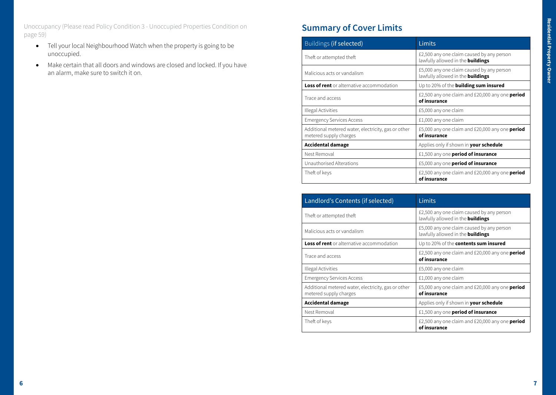Unoccupancy (Please read Policy Condition 3 - Unoccupied Properties Condition on page 59)

- • Tell your local Neighbourhood Watch when the property is going to be unoccupied.
- Make certain that all doors and windows are closed and locked. If you have an alarm, make sure to switch it on.

# **Summary of Cover Limits**

| Buildings (if selected)                                                       | <b>Limits</b>                                                                         |
|-------------------------------------------------------------------------------|---------------------------------------------------------------------------------------|
| Theft or attempted theft                                                      | £2,500 any one claim caused by any person<br>lawfully allowed in the <b>buildings</b> |
| Malicious acts or vandalism                                                   | £5,000 any one claim caused by any person<br>lawfully allowed in the <b>buildings</b> |
| <b>Loss of rent</b> or alternative accommodation                              | Up to 20% of the <b>building sum insured</b>                                          |
| Trace and access                                                              | £2,500 any one claim and £20,000 any one <b>period</b><br>of insurance                |
| Illegal Activities                                                            | £5,000 any one claim                                                                  |
| <b>Emergency Services Access</b>                                              | £1,000 any one claim                                                                  |
| Additional metered water, electricity, gas or other<br>metered supply charges | £5,000 any one claim and £20,000 any one <b>period</b><br>of insurance                |
| <b>Accidental damage</b>                                                      | Applies only if shown in your schedule                                                |
| Nest Removal                                                                  | £1,500 any one <b>period of insurance</b>                                             |
| Unauthorised Alterations                                                      | £5,000 any one period of insurance                                                    |
| Theft of keys                                                                 | £2,500 any one claim and £20,000 any one period<br>of insurance                       |

| Landlord's Contents (if selected)                                             | Limits                                                                                |
|-------------------------------------------------------------------------------|---------------------------------------------------------------------------------------|
| Theft or attempted theft                                                      | £2,500 any one claim caused by any person<br>lawfully allowed in the <b>buildings</b> |
| Malicious acts or vandalism                                                   | £5,000 any one claim caused by any person<br>lawfully allowed in the <b>buildings</b> |
| <b>Loss of rent</b> or alternative accommodation                              | Up to 20% of the <b>contents sum insured</b>                                          |
| Trace and access                                                              | £2,500 any one claim and £20,000 any one <b>period</b><br>of insurance                |
| Illegal Activities                                                            | £5,000 any one claim                                                                  |
| <b>Emergency Services Access</b>                                              | £1,000 any one claim                                                                  |
| Additional metered water, electricity, gas or other<br>metered supply charges | £5,000 any one claim and £20,000 any one <b>period</b><br>of insurance                |
| <b>Accidental damage</b>                                                      | Applies only if shown in <b>your schedule</b>                                         |
| Nest Removal                                                                  | £1,500 any one period of insurance                                                    |
| Theft of keys                                                                 | £2,500 any one claim and £20,000 any one <b>period</b><br>of insurance                |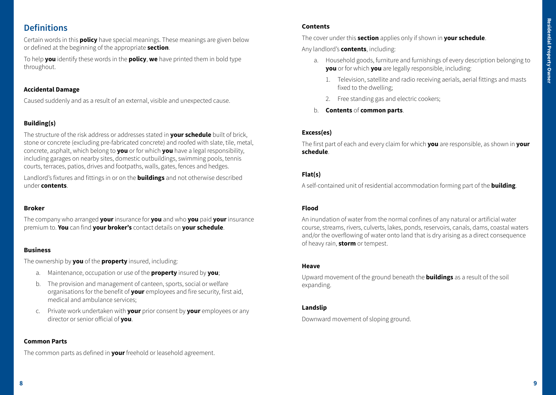# **Definitions**

Certain words in this **policy** have special meanings. These meanings are given below or defined at the beginning of the appropriate **section**.

To help **you** identify these words in the **policy**, **we** have printed them in bold type throughout.

### **Accidental Damage**

Caused suddenly and as a result of an external, visible and unexpected cause.

# **Building(s)**

The structure of the risk address or addresses stated in **your schedule** built of brick, stone or concrete (excluding pre-fabricated concrete) and roofed with slate, tile, metal, concrete, asphalt, which belong to **you** or for which **you** have a legal responsibility, including garages on nearby sites, domestic outbuildings, swimming pools, tennis courts, terraces, patios, drives and footpaths, walls, gates, fences and hedges.

Landlord's fixtures and fittings in or on the **buildings** and not otherwise described under **contents**.

#### **Broker**

The company who arranged **your** insurance for **you** and who **you** paid **your** insurance premium to. **You** can find **your broker's** contact details on **your schedule**.

#### **Business**

The ownership by **you** of the **property** insured, including:

- a. Maintenance, occupation or use of the **property** insured by **you**;
- b. The provision and management of canteen, sports, social or welfare organisations for the benefit of **your** employees and fire security, first aid, medical and ambulance services;
- c. Private work undertaken with **your** prior consent by **your** employees or any director or senior official of **you**.

# **Common Parts**

The common parts as defined in **your** freehold or leasehold agreement.

# **Contents**

The cover under this **section** applies only if shown in **your schedule**.

Any landlord's **contents**, including:

- a. Household goods, furniture and furnishings of every description belonging to **you** or for which **you** are legally responsible, including:
	- 1. Television, satellite and radio receiving aerials, aerial fittings and masts fixed to the dwelling;
	- 2. Free standing gas and electric cookers;
- b. **Contents** of **common parts**.

# **Excess(es)**

The first part of each and every claim for which **you** are responsible, as shown in **your schedule**.

# **Flat(s)**

A self-contained unit of residential accommodation forming part of the **building**.

# **Flood**

An inundation of water from the normal confines of any natural or artificial water course, streams, rivers, culverts, lakes, ponds, reservoirs, canals, dams, coastal waters and/or the overflowing of water onto land that is dry arising as a direct consequence of heavy rain, **storm** or tempest.

#### **Heave**

Upward movement of the ground beneath the **buildings** as a result of the soil expanding.

#### **Landslip**

Downward movement of sloping ground.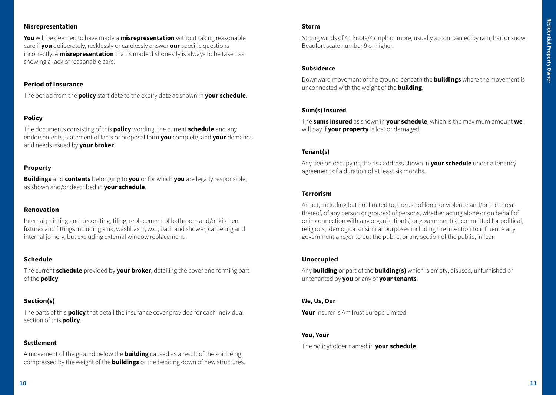# **Misrepresentation**

**You** will be deemed to have made a **misrepresentation** without taking reasonable care if **you** deliberately, recklessly or carelessly answer **our** specific questions incorrectly. A **misrepresentation** that is made dishonestly is always to be taken as showing a lack of reasonable care.

# **Period of Insurance**

The period from the **policy** start date to the expiry date as shown in **your schedule**.

# **Policy**

The documents consisting of this **policy** wording, the current **schedule** and any endorsements, statement of facts or proposal form **you** complete, and **your** demands and needs issued by **your broker**.

# **Property**

**Buildings** and **contents** belonging to **you** or for which **you** are legally responsible, as shown and/or described in **your schedule**.

# **Renovation**

Internal painting and decorating, tiling, replacement of bathroom and/or kitchen fixtures and fittings including sink, washbasin, w.c., bath and shower, carpeting and internal joinery, but excluding external window replacement.

# **Schedule**

The current **schedule** provided by **your broker**, detailing the cover and forming part of the **policy**.

# **Section(s)**

The parts of this **policy** that detail the insurance cover provided for each individual section of this **policy**.

# **Settlement**

A movement of the ground below the **building** caused as a result of the soil being compressed by the weight of the **buildings** or the bedding down of new structures.

#### **Storm**

Strong winds of 41 knots/47mph or more, usually accompanied by rain, hail or snow. Beaufort scale number 9 or higher.

# **Subsidence**

Downward movement of the ground beneath the **buildings** where the movement is unconnected with the weight of the **building**.

# **Sum(s) Insured**

The **sums insured** as shown in **your schedule**, which is the maximum amount **we** will pay if **your property** is lost or damaged.

# **Tenant(s)**

Any person occupying the risk address shown in **your schedule** under a tenancy agreement of a duration of at least six months.

# **Terrorism**

An act, including but not limited to, the use of force or violence and/or the threat thereof, of any person or group(s) of persons, whether acting alone or on behalf of or in connection with any organisation(s) or government(s), committed for political, religious, ideological or similar purposes including the intention to influence any government and/or to put the public, or any section of the public, in fear.

# **Unoccupied**

Any **building** or part of the **building(s)** which is empty, disused, unfurnished or untenanted by **you** or any of **your tenants**.

# **We, Us, Our**

**Your** insurer is AmTrust Europe Limited.

# **You, Your**

The policyholder named in **your schedule**.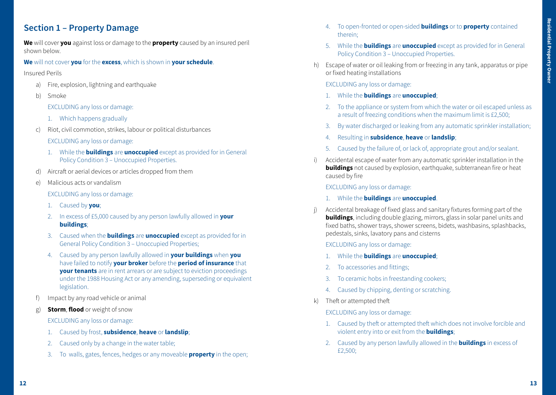# **Section 1 – Property Damage**

**We** will cover **you** against loss or damage to the **property** caused by an insured peril shown below.

**We** will not cover **you** for the **excess**, which is shown in **your schedule**.

Insured Perils

- a) Fire, explosion, lightning and earthquake
- b) Smoke

EXCLUDING any loss or damage:

- 1. Which happens gradually
- c) Riot, civil commotion, strikes, labour or political disturbances

EXCLUDING any loss or damage:

- 1. While the **buildings** are **unoccupied** except as provided for in General Policy Condition 3 – Unoccupied Properties.
- d) Aircraft or aerial devices or articles dropped from them
- e) Malicious acts or vandalism

EXCLUDING any loss or damage:

- 1. Caused by **you**;
- 2. In excess of £5,000 caused by any person lawfully allowed in **your buildings**;
- 3. Caused when the **buildings** are **unoccupied** except as provided for in General Policy Condition 3 – Unoccupied Properties;
- 4. Caused by any person lawfully allowed in **your buildings** when **you**  have failed to notify **your broker** before the **period of insurance** that **your tenants** are in rent arrears or are subject to eviction proceedings under the 1988 Housing Act or any amending, superseding or equivalent legislation.
- Impact by any road vehicle or animal
- g) **Storm**, **flood** or weight of snow

EXCLUDING any loss or damage:

- 1. Caused by frost, **subsidence**, **heave** or **landslip**;
- 2. Caused only by a change in the water table;
- 3. To walls, gates, fences, hedges or any moveable **property** in the open;
- 4. To open-fronted or open-sided **buildings** or to **property** contained therein;
- 5. While the **buildings** are **unoccupied** except as provided for in General Policy Condition 3 – Unoccupied Properties.
- h) Escape of water or oil leaking from or freezing in any tank, apparatus or pipe or fixed heating installations

EXCLUDING any loss or damage:

- 1. While the **buildings** are **unoccupied**;
- 2. To the appliance or system from which the water or oil escaped unless as a result of freezing conditions when the maximum limit is £2,500;
- 3. By water discharged or leaking from any automatic sprinkler installation;
- 4. Resulting in **subsidence**, **heave** or **landslip**;
- 5. Caused by the failure of, or lack of, appropriate grout and/or sealant.
- i) Accidental escape of water from any automatic sprinkler installation in the **buildings** not caused by explosion, earthquake, subterranean fire or heat caused by fire

EXCLUDING any loss or damage:

- 1. While the **buildings** are **unoccupied**.
- j) Accidental breakage of fixed glass and sanitary fixtures forming part of the **buildings**, including double glazing, mirrors, glass in solar panel units and fixed baths, shower trays, shower screens, bidets, washbasins, splashbacks, pedestals, sinks, lavatory pans and cisterns

# EXCLUDING any loss or damage:

- 1. While the **buildings** are **unoccupied**;
- 2. To accessories and fittings;
- 3. To ceramic hobs in freestanding cookers;
- 4. Caused by chipping, denting or scratching.
- k) Theft or attempted theft

EXCLUDING any loss or damage:

- 1. Caused by theft or attempted theft which does not involve forcible and violent entry into or exit from the **buildings**;
- 2. Caused by any person lawfully allowed in the **buildings** in excess of £2,500;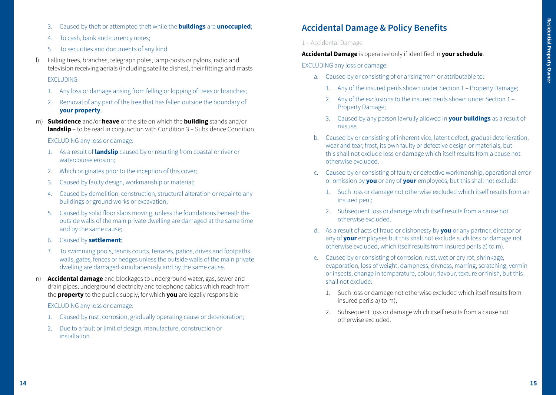- 3. Caused by theft or attempted theft while the **buildings** are **unoccupied**;
- 4. To cash, bank and currency notes;
- 5. To securities and documents of any kind.
- l) Falling trees, branches, telegraph poles, lamp-posts or pylons, radio and television receiving aerials (including satellite dishes), their fittings and masts

#### EXCLUDING:

- 1. Any loss or damage arising from felling or lopping of trees or branches;
- 2. Removal of any part of the tree that has fallen outside the boundary of **your property**.
- m) **Subsidence** and/or **heave** of the site on which the **building** stands and/or **landslip** – to be read in conjunction with Condition 3 – Subsidence Condition

### EXCLUDING any loss or damage:

- 1. As a result of **landslip** caused by or resulting from coastal or river or watercourse erosion;
- 2. Which originates prior to the inception of this cover;
- 3. Caused by faulty design, workmanship or material;
- 4. Caused by demolition, construction, structural alteration or repair to any buildings or ground works or excavation;
- 5. Caused by solid floor slabs moving, unless the foundations beneath the outside walls of the main private dwelling are damaged at the same time and by the same cause;
- 6. Caused by **settlement**;
- 7. To swimming pools, tennis courts, terraces, patios, drives and footpaths, walls, gates, fences or hedges unless the outside walls of the main private dwelling are damaged simultaneously and by the same cause.
- n) **Accidental damage** and blockages to underground water, gas, sewer and drain pipes, underground electricity and telephone cables which reach from the **property** to the public supply, for which **you** are legally responsible

EXCLUDING any loss or damage:

- 1. Caused by rust, corrosion, gradually operating cause or deterioration;
- 2. Due to a fault or limit of design, manufacture, construction or **installation**

# **Accidental Damage & Policy Benefits**

#### 1 – Accidental Damage

**Accidental Damage** is operative only if identified in **your schedule**.

EXCLUDING any loss or damage:

- a. Caused by or consisting of or arising from or attributable to:
	- 1. Any of the insured perils shown under Section 1 Property Damage;
	- 2. Any of the exclusions to the insured perils shown under Section 1 Property Damage;
	- 3. Caused by any person lawfully allowed in **your buildings** as a result of misuse.
- b. Caused by or consisting of inherent vice, latent defect, gradual deterioration, wear and tear, frost, its own faulty or defective design or materials, but this shall not exclude loss or damage which itself results from a cause not otherwise excluded.
- c. Caused by or consisting of faulty or defective workmanship, operational error or omission by **you** or any of **your** employees, but this shall not exclude:
	- 1. Such loss or damage not otherwise excluded which itself results from an insured peril;
	- 2. Subsequent loss or damage which itself results from a cause not otherwise excluded.
- d. As a result of acts of fraud or dishonesty by **you** or any partner, director or any of **your** employees but this shall not exclude such loss or damage not otherwise excluded, which itself results from insured perils a) to m).
- e. Caused by or consisting of corrosion, rust, wet or dry rot, shrinkage, evaporation, loss of weight, dampness, dryness, marring, scratching, vermin or insects, change in temperature, colour, flavour, texture or finish, but this shall not exclude:
	- 1. Such loss or damage not otherwise excluded which itself results from insured perils a) to m);
	- 2. Subsequent loss or damage which itself results from a cause not otherwise excluded.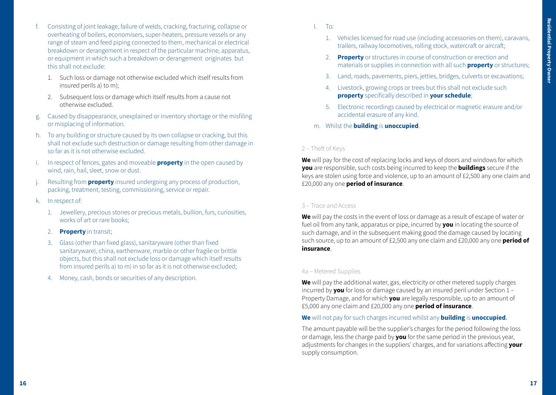- f. Consisting of joint leakage, failure of welds, cracking, fracturing, collapse or overheating of boilers, economisers, super-heaters, pressure vessels or any range of steam and feed piping connected to them, mechanical or electrical breakdown or derangement in respect of the particular machine, apparatus, or equipment in which such a breakdown or derangement originates but this shall not exclude:
	- 1. Such loss or damage not otherwise excluded which itself results from insured perils a) to m);
	- 2. Subsequent loss or damage which itself results from a cause not otherwise excluded.
- g. Caused by disappearance, unexplained or inventory shortage or the misfiling or misplacing of information.
- h. To any building or structure caused by its own collapse or cracking, but this shall not exclude such destruction or damage resulting from other damage in so far as it is not otherwise excluded.
- i. In respect of fences, gates and moveable **property** in the open caused by wind, rain, hail, sleet, snow or dust.
- Resulting from **property** insured undergoing any process of production, packing, treatment, testing, commissioning, service or repair.
- k. In respect of:
	- 1. Jewellery, precious stones or precious metals, bullion, furs, curiosities, works of art or rare books;
	- 2. **Property** in transit;
	- 3. Glass (other than fixed glass), sanitaryware (other than fixed sanitaryware), china, earthenware, marble or other fragile or brittle objects, but this shall not exclude loss or damage which itself results from insured perils a) to m) in so far as it is not otherwise excluded;
	- 4. Money, cash, bonds or securities of any description.
- l. To:
	- 1. Vehicles licensed for road use (including accessories on them), caravans, trailers, railway locomotives, rolling stock, watercraft or aircraft;
	- 2. **Property** or structures in course of construction or erection and materials or supplies in connection with all such **property** or structures;
	- 3. Land, roads, pavements, piers, jetties, bridges, culverts or excavations;
	- 4. Livestock, growing crops or trees but this shall not exclude such **property** specifically described in **your schedule**;
	- 5. Electronic recordings caused by electrical or magnetic erasure and/or accidental erasure of any kind.
- m. Whilst the **building** is **unoccupied**.

# 2 – Theft of Keys

**We** will pay for the cost of replacing locks and keys of doors and windows for which **you** are responsible, such costs being incurred to keep the **buildings** secure if the keys are stolen using force and violence, up to an amount of £2,500 any one claim and £20,000 any one **period of insurance**.

#### 3 – Trace and Access

**We** will pay the costs in the event of loss or damage as a result of escape of water or fuel oil from any tank, apparatus or pipe, incurred by **you** in locating the source of such damage, and in the subsequent making good the damage caused by locating such source, up to an amount of £2,500 any one claim and £20,000 any one **period of insurance**.

# 4a – Metered Supplies

**We** will pay the additional water, gas, electricity or other metered supply charges incurred by **you** for loss or damage caused by an insured peril under Section 1 – Property Damage, and for which **you** are legally responsible, up to an amount of £5,000 any one claim and £20,000 any one **period of insurance**.

# **We** will not pay for such charges incurred whilst any **building** is **unoccupied**.

The amount payable will be the supplier's charges for the period following the loss or damage, less the charge paid by **you** for the same period in the previous year, adjustments for changes in the suppliers' charges, and for variations affecting **your** supply consumption.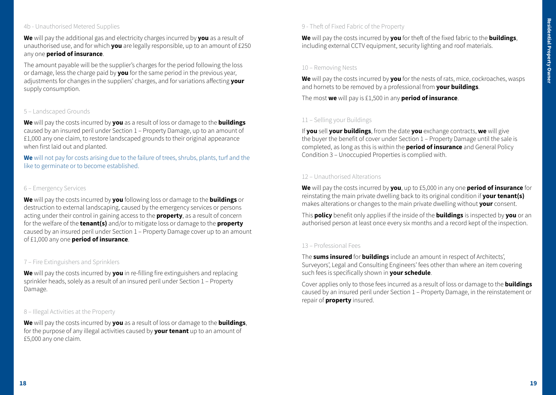# 4b - Unauthorised Metered Supplies

**We** will pay the additional gas and electricity charges incurred by **you** as a result of unauthorised use, and for which **you** are legally responsible, up to an amount of £250 any one **period of insurance**.

The amount payable will be the supplier's charges for the period following the loss or damage, less the charge paid by **you** for the same period in the previous year, adjustments for changes in the suppliers' charges, and for variations affecting **your** supply consumption.

#### 5 – Landscaped Grounds

**We** will pay the costs incurred by **you** as a result of loss or damage to the **buildings**  caused by an insured peril under Section 1 – Property Damage, up to an amount of £1,000 any one claim, to restore landscaped grounds to their original appearance when first laid out and planted.

**We** will not pay for costs arising due to the failure of trees, shrubs, plants, turf and the like to germinate or to become established.

#### 6 – Emergency Services

**We** will pay the costs incurred by **you** following loss or damage to the **buildings** or destruction to external landscaping, caused by the emergency services or persons acting under their control in gaining access to the **property**, as a result of concern for the welfare of the **tenant(s)** and/or to mitigate loss or damage to the **property** caused by an insured peril under Section 1 – Property Damage cover up to an amount of £1,000 any one **period of insurance**.

#### 7 – Fire Extinguishers and Sprinklers

**We** will pay the costs incurred by **you** in re-filling fire extinguishers and replacing sprinkler heads, solely as a result of an insured peril under Section 1 – Property Damage.

### 8 – Illegal Activities at the Property

**We** will pay the costs incurred by **you** as a result of loss or damage to the **buildings**, for the purpose of any illegal activities caused by **your tenant** up to an amount of £5,000 any one claim.

# 9 - Theft of Fixed Fabric of the Property

**We** will pay the costs incurred by **you** for theft of the fixed fabric to the **buildings**, including external CCTV equipment, security lighting and roof materials.

#### 10 – Removing Nests

**We** will pay the costs incurred by **you** for the nests of rats, mice, cockroaches, wasps and hornets to be removed by a professional from **your buildings**.

The most **we** will pay is £1,500 in any **period of insurance**.

#### 11 – Selling your Buildings

If **you** sell **your buildings**, from the date **you** exchange contracts, **we** will give the buyer the benefit of cover under Section 1 – Property Damage until the sale is completed, as long as this is within the **period of insurance** and General Policy Condition 3 – Unoccupied Properties is complied with.

#### 12 – Unauthorised Alterations

**We** will pay the costs incurred by **you**, up to £5,000 in any one **period of insurance** for reinstating the main private dwelling back to its original condition if **your tenant(s)**  makes alterations or changes to the main private dwelling without **your** consent.

This **policy** benefit only applies if the inside of the **buildings** is inspected by **you** or an authorised person at least once every six months and a record kept of the inspection.

### 13 – Professional Fees

The **sums insured** for **buildings** include an amount in respect of Architects', Surveyors', Legal and Consulting Engineers' fees other than where an item covering such fees is specifically shown in **your schedule**.

Cover applies only to those fees incurred as a result of loss or damage to the **buildings**  caused by an insured peril under Section 1 – Property Damage, in the reinstatement or repair of **property** insured.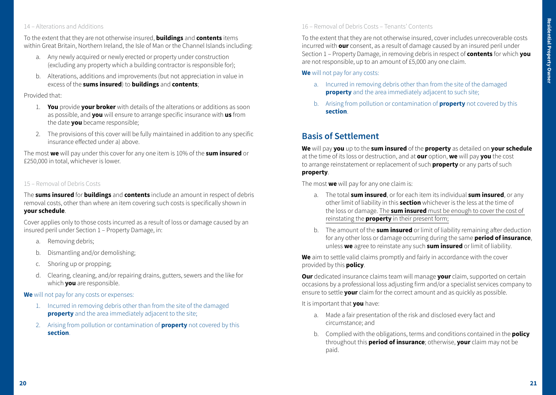# 14 – Alterations and Additions

To the extent that they are not otherwise insured, **buildings** and **contents** items within Great Britain, Northern Ireland, the Isle of Man or the Channel Islands including:

- a. Any newly acquired or newly erected or property under construction (excluding any property which a building contractor is responsible for);
- b. Alterations, additions and improvements (but not appreciation in value in excess of the **sums insured**) to **buildings** and **contents**;

#### Provided that:

- 1. **You** provide **your broker** with details of the alterations or additions as soon as possible, and **you** will ensure to arrange specific insurance with **us** from the date **you** became responsible;
- 2. The provisions of this cover will be fully maintained in addition to any specific insurance effected under a) above.

The most **we** will pay under this cover for any one item is 10% of the **sum insured** or £250,000 in total, whichever is lower.

# 15 – Removal of Debris Costs

The **sums insured** for **buildings** and **contents** include an amount in respect of debris removal costs, other than where an item covering such costs is specifically shown in **your schedule**.

Cover applies only to those costs incurred as a result of loss or damage caused by an insured peril under Section 1 – Property Damage, in:

- a. Removing debris;
- b. Dismantling and/or demolishing;
- c. Shoring up or propping;
- d. Clearing, cleaning, and/or repairing drains, gutters, sewers and the like for which **you** are responsible.

#### **We** will not pay for any costs or expenses:

- 1. Incurred in removing debris other than from the site of the damaged **property** and the area immediately adjacent to the site;
- 2. Arising from pollution or contamination of **property** not covered by this **section**.

# 16 – Removal of Debris Costs – Tenants' Contents

To the extent that they are not otherwise insured, cover includes unrecoverable costs incurred with **our** consent, as a result of damage caused by an insured peril under Section 1 – Property Damage, in removing debris in respect of **contents** for which **you** are not responsible, up to an amount of £5,000 any one claim.

**We** will not pay for any costs:

- a. Incurred in removing debris other than from the site of the damaged **property** and the area immediately adjacent to such site;
- b. Arising from pollution or contamination of **property** not covered by this **section**.

# **Basis of Settlement**

**We** will pay **you** up to the **sum insured** of the **property** as detailed on **your schedule** at the time of its loss or destruction, and at **our** option, **we** will pay **you** the cost to arrange reinstatement or replacement of such **property** or any parts of such **property**.

The most **we** will pay for any one claim is:

- a. The total **sum insured**, or for each item its individual **sum insured**, or any other limit of liability in this **section** whichever is the less at the time of the loss or damage. The **sum insured** must be enough to cover the cost of reinstating the **property** in their present form;
- b. The amount of the **sum insured** or limit of liability remaining after deduction for any other loss or damage occurring during the same **period of insurance**, unless **we** agree to reinstate any such **sum insured** or limit of liability.

**We** aim to settle valid claims promptly and fairly in accordance with the cover provided by this **policy**.

**Our** dedicated insurance claims team will manage **your** claim, supported on certain occasions by a professional loss adjusting firm and/or a specialist services company to ensure to settle **your** claim for the correct amount and as quickly as possible.

It is important that **you** have:

- a. Made a fair presentation of the risk and disclosed every fact and circumstance; and
- b. Complied with the obligations, terms and conditions contained in the **policy**  throughout this **period of insurance**; otherwise, **your** claim may not be paid.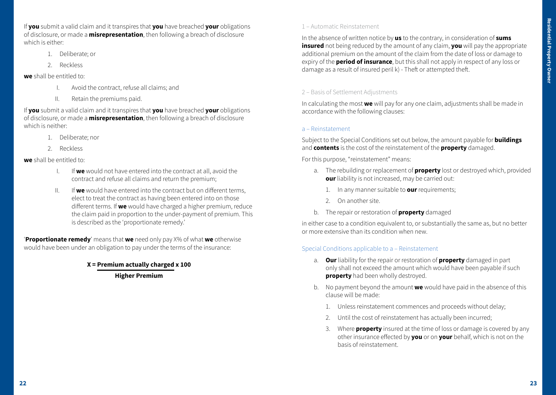If **you** submit a valid claim and it transpires that **you** have breached **your** obligations of disclosure, or made a **misrepresentation**, then following a breach of disclosure which is either:

- 1. Deliberate; or
- 2. Reckless

#### **we** shall be entitled to:

- I. Avoid the contract, refuse all claims; and
- II. Retain the premiums paid.

If **you** submit a valid claim and it transpires that **you** have breached **your** obligations of disclosure, or made a **misrepresentation**, then following a breach of disclosure which is neither:

- 1. Deliberate; nor
- 2. Reckless

**we** shall be entitled to:

- I. If **we** would not have entered into the contract at all, avoid the contract and refuse all claims and return the premium;
- II. If **we** would have entered into the contract but on different terms, elect to treat the contract as having been entered into on those different terms. If **we** would have charged a higher premium, reduce the claim paid in proportion to the under-payment of premium. This is described as the 'proportionate remedy.'

'**Proportionate remedy**' means that **we** need only pay X% of what **we** otherwise would have been under an obligation to pay under the terms of the insurance:

> **X = Premium actually charged x 100 Higher Premium**

# 1 – Automatic Reinstatement

In the absence of written notice by **us** to the contrary, in consideration of **sums insured** not being reduced by the amount of any claim, **you** will pay the appropriate additional premium on the amount of the claim from the date of loss or damage to expiry of the **period of insurance**, but this shall not apply in respect of any loss or damage as a result of insured peril k) - Theft or attempted theft.

# 2 – Basis of Settlement Adjustments

In calculating the most **we** will pay for any one claim, adjustments shall be made in accordance with the following clauses:

### a – Reinstatement

Subject to the Special Conditions set out below, the amount payable for **buildings**  and **contents** is the cost of the reinstatement of the **property** damaged.

For this purpose, "reinstatement" means:

- a. The rebuilding or replacement of **property** lost or destroyed which, provided **our** liability is not increased, may be carried out:
	- 1. In any manner suitable to **our** requirements;
	- 2. On another site.
- b. The repair or restoration of **property** damaged

in either case to a condition equivalent to, or substantially the same as, but no better or more extensive than its condition when new.

# Special Conditions applicable to a – Reinstatement

- a. **Our** liability for the repair or restoration of **property** damaged in part only shall not exceed the amount which would have been payable if such **property** had been wholly destroyed.
- b. No payment beyond the amount **we** would have paid in the absence of this clause will be made:
	- 1. Unless reinstatement commences and proceeds without delay;
	- 2. Until the cost of reinstatement has actually been incurred;
	- 3. Where **property** insured at the time of loss or damage is covered by any other insurance effected by **you** or on **your** behalf, which is not on the basis of reinstatement.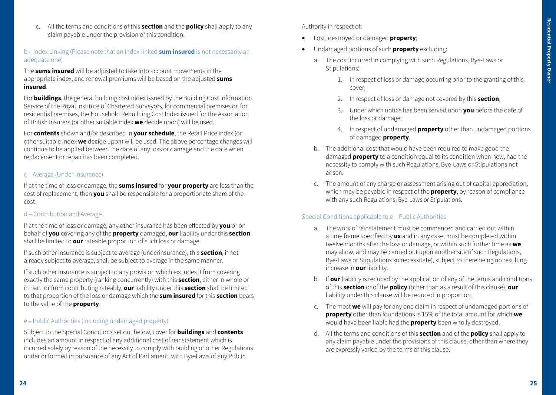c. All the terms and conditions of this **section** and the **policy** shall apply to any claim payable under the provision of this condition.

# b – Index Linking (Please note that an index-linked **sum insured** is not necessarily an adequate one)

The **sums insured** will be adjusted to take into account movements in the appropriate index, and renewal premiums will be based on the adjusted **sums insured**.

For **buildings**, the general building cost index issued by the Building Cost Information Service of the Royal Institute of Chartered Surveyors, for commercial premises or, for residential premises, the Household Rebuilding Cost Index issued for the Association of British Insurers (or other suitable index **we** decide upon) will be used.

For **contents** shown and/or described in **your schedule**, the Retail Price Index (or other suitable index **we** decide upon) will be used. The above percentage changes will continue to be applied between the date of any loss or damage and the date when replacement or repair has been completed.

### c – Average (Under-insurance)

If at the time of loss or damage, the **sums insured** for **your property** are less than the cost of replacement, then **you** shall be responsible for a proportionate share of the cost.

# d – Contribution and Average

If at the time of loss or damage, any other insurance has been effected by **you** or on behalf of **you** covering any of the **property** damaged, **our** liability under this **section** shall be limited to **our** rateable proportion of such loss or damage.

If such other insurance is subject to average (underinsurance), this **section**, if not already subject to average, shall be subject to average in the same manner.

If such other insurance is subject to any provision which excludes it from covering exactly the same property (ranking concurrently) with this **section**, either in whole or in part, or from contributing rateably, **our** liability under this **section** shall be limited to that proportion of the loss or damage which the **sum insured** for this **section** bears to the value of the **property**.

### e – Public Authorities (including undamaged property)

Subject to the Special Conditions set out below, cover for **buildings** and **contents** includes an amount in respect of any additional cost of reinstatement which is incurred solely by reason of the necessity to comply with building or other Regulations under or formed in pursuance of any Act of Parliament, with Bye-Laws of any Public

Authority in respect of:

- Lost, destroyed or damaged **property**;
- Undamaged portions of such **property** excluding:
	- a. The cost incurred in complying with such Regulations, Bye-Laws or Stipulations:
		- 1. In respect of loss or damage occurring prior to the granting of this cover;
		- 2. In respect of loss or damage not covered by this **section**;
		- 3. Under which notice has been served upon **you** before the date of the loss or damage;
		- 4. In respect of undamaged **property** other than undamaged portions of damaged **property**.
	- b. The additional cost that would have been required to make good the damaged **property** to a condition equal to its condition when new, had the necessity to comply with such Regulations, Bye-Laws or Stipulations not arisen.
	- c. The amount of any charge or assessment arising out of capital appreciation, which may be payable in respect of the **property**, by reason of compliance with any such Regulations, Bye-Laws or Stipulations.

# Special Conditions applicable to e – Public Authorities

- a. The work of reinstatement must be commenced and carried out within a time frame specified by **us** and in any case, must be completed within twelve months after the loss or damage, or within such further time as **we** may allow, and may be carried out upon another site (if such Regulations, Bye-Laws or Stipulations so necessitate), subject to there being no resulting increase in **our** liability.
- b. If **our** liability is reduced by the application of any of the terms and conditions of this **section** or of the **policy** (other than as a result of this clause), **our** liability under this clause will be reduced in proportion.
- c. The most **we** will pay for any one claim in respect of undamaged portions of **property** other than foundations is 15% of the total amount for which **we** would have been liable had the **property** been wholly destroyed.
- d. All the terms and conditions of this **section** and of the **policy** shall apply to any claim payable under the provisions of this clause, other than where they are expressly varied by the terms of this clause.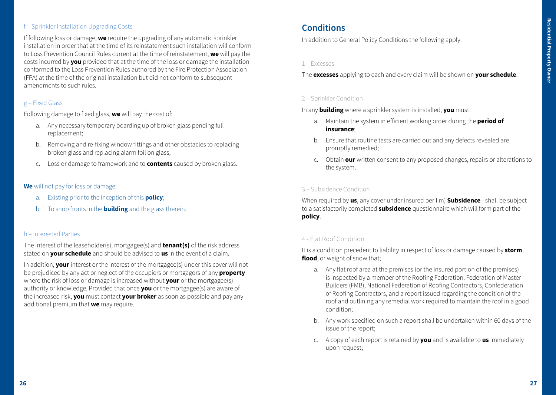# f – Sprinkler Installation Upgrading Costs

If following loss or damage, **we** require the upgrading of any automatic sprinkler installation in order that at the time of its reinstatement such installation will conform to Loss Prevention Council Rules current at the time of reinstatement, **we** will pay the costs incurred by **you** provided that at the time of the loss or damage the installation conformed to the Loss Prevention Rules authored by the Fire Protection Association (FPA) at the time of the original installation but did not conform to subsequent amendments to such rules.

# g – Fixed Glass

Following damage to fixed glass, **we** will pay the cost of:

- a. Any necessary temporary boarding up of broken glass pending full replacement;
- b. Removing and re-fixing window fittings and other obstacles to replacing broken glass and replacing alarm foil on glass;
- c. Loss or damage to framework and to **contents** caused by broken glass.

# **We** will not pay for loss or damage:

- a. Existing prior to the inception of this **policy**;
- b. To shop fronts in the **building** and the glass therein.

#### h – Interested Parties

The interest of the leaseholder(s), mortgagee(s) and **tenant(s)** of the risk address stated on **your schedule** and should be advised to **us** in the event of a claim.

In addition, **your** interest or the interest of the mortgagee(s) under this cover will not be prejudiced by any act or neglect of the occupiers or mortgagors of any **property**  where the risk of loss or damage is increased without **your** or the mortgagee(s) authority or knowledge. Provided that once **you** or the mortgagee(s) are aware of the increased risk, **you** must contact **your broker** as soon as possible and pay any additional premium that **we** may require.

# **Conditions**

In addition to General Policy Conditions the following apply:

#### 1 – Excesses

The **excesses** applying to each and every claim will be shown on **your schedule**.

# 2 – Sprinkler Condition

In any **building** where a sprinkler system is installed, **you** must:

- a. Maintain the system in efficient working order during the **period of insurance**;
- b. Ensure that routine tests are carried out and any defects revealed are promptly remedied;
- c. Obtain **our** written consent to any proposed changes, repairs or alterations to the system.

#### 3 – Subsidence Condition

When required by **us**, any cover under insured peril m) **Subsidence** - shall be subject to a satisfactorily completed **subsidence** questionnaire which will form part of the **policy**.

#### 4 - Flat Roof Condition

It is a condition precedent to liability in respect of loss or damage caused by **storm**, **flood**, or weight of snow that;

- a. Any flat roof area at the premises (or the insured portion of the premises) is inspected by a member of the Roofing Federation, Federation of Master Builders (FMB), National Federation of Roofing Contractors, Confederation of Roofing Contractors, and a report issued regarding the condition of the roof and outlining any remedial work required to maintain the roof in a good condition;
- b. Any work specified on such a report shall be undertaken within 60 days of the issue of the report;
- c. A copy of each report is retained by **you** and is available to **us** immediately upon request;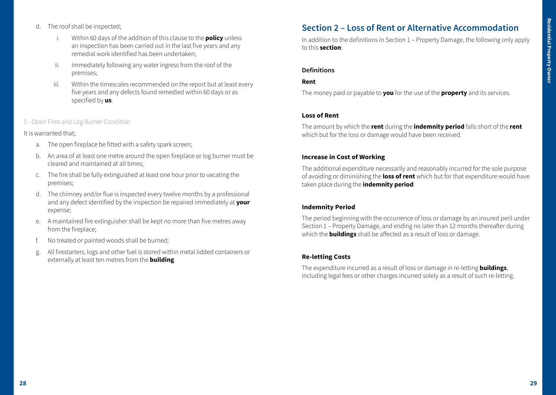- d. The roof shall be inspected;
	- i. Within 60 days of the addition of this clause to the **policy** unless an inspection has been carried out in the last five years and any remedial work identified has been undertaken;
	- ii. Immediately following any water ingress from the roof of the premises;
	- iii. Within the timescales recommended on the report but at least every five years and any defects found remedied within 60 days or as specified by **us**.

### 5 - Open Fires and Log Burner Condition

#### It is warranted that;

- a. The open fireplace be fitted with a safety spark screen;
- b. An area of at least one metre around the open fireplace or log burner must be cleared and maintained at all times;
- c. The fire shall be fully extinguished at least one hour prior to vacating the premises;
- d. The chimney and/or flue is inspected every twelve months by a professional and any defect identified by the inspection be repaired immediately at **your** expense;
- e. A maintained fire extinguisher shall be kept no more than five metres away from the fireplace;
- No treated or painted woods shall be burned;
- g. All firestarters, logs and other fuel is stored within metal lidded containers or externally at least ten metres from the **building**.

# **Section 2 – Loss of Rent or Alternative Accommodation**

In addition to the definitions in Section 1 – Property Damage, the following only apply to this **section**:

#### **Definitions**

#### **Rent**

The money paid or payable to **you** for the use of the **property** and its services.

#### **Loss of Rent**

The amount by which the **rent** during the **indemnity period** falls short of the **rent** which but for the loss or damage would have been received.

### **Increase in Cost of Working**

The additional expenditure necessarily and reasonably incurred for the sole purpose of avoiding or diminishing the **loss of rent** which but for that expenditure would have taken place during the **indemnity period**.

# **Indemnity Period**

The period beginning with the occurrence of loss or damage by an insured peril under Section 1 – Property Damage, and ending no later than 12 months thereafter during which the **buildings** shall be affected as a result of loss or damage.

# **Re-letting Costs**

The expenditure incurred as a result of loss or damage in re-letting **buildings**, including legal fees or other charges incurred solely as a result of such re-letting.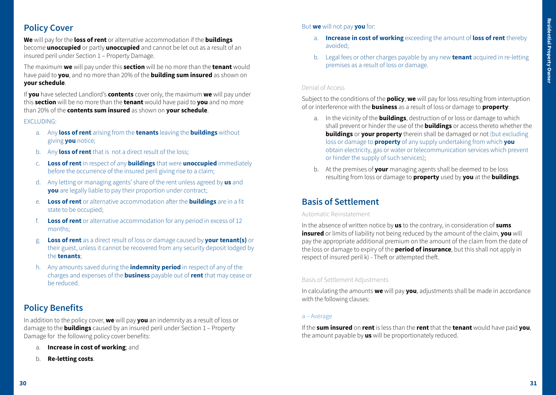# **Policy Cover**

**We** will pay for the **loss of rent** or alternative accommodation if the **buildings** become **unoccupied** or partly **unoccupied** and cannot be let out as a result of an insured peril under Section 1 – Property Damage.

The maximum **we** will pay under this **section** will be no more than the **tenant** would have paid to **you**, and no more than 20% of the **building sum insured** as shown on **your schedule**.

If **you** have selected Landlord's **contents** cover only, the maximum **we** will pay under this **section** will be no more than the **tenant** would have paid to **you** and no more than 20% of the **contents sum insured** as shown on **your schedule**.

#### EXCLUDING:

- a. Any **loss of rent** arising from the **tenants** leaving the **buildings** without giving **you** notice;
- b. Any **loss of rent** that is not a direct result of the loss;
- c. **Loss of rent** in respect of any **buildings** that were **unoccupied** immediately before the occurrence of the insured peril giving rise to a claim;
- d. Any letting or managing agents' share of the rent unless agreed by **us** and **you** are legally liable to pay their proportion under contract;
- e. **Loss of rent** or alternative accommodation after the **buildings** are in a fit state to be occupied;
- f. **Loss of rent** or alternative accommodation for any period in excess of 12 months;
- g. **Loss of rent** as a direct result of loss or damage caused by **your tenant(s)** or their guest, unless it cannot be recovered from any security deposit lodged by the **tenants**;
- h. Any amounts saved during the **indemnity period** in respect of any of the charges and expenses of the **business** payable out of **rent** that may cease or be reduced.

# **Policy Benefits**

In addition to the policy cover, **we** will pay **you** an indemnity as a result of loss or damage to the **buildings** caused by an insured peril under Section 1 – Property Damage for the following policy cover benefits:

- a. **Increase in cost of working**; and
- b. **Re-letting costs**.

# But **we** will not pay **you** for:

- a. **Increase in cost of working** exceeding the amount of **loss of rent** thereby avoided;
- b. Legal fees or other charges payable by any new **tenant** acquired in re-letting premises as a result of loss or damage.

# Denial of Access

Subject to the conditions of the **policy**, **we** will pay for loss resulting from interruption of or interference with the **business** as a result of loss or damage to **property**:

- a. In the vicinity of the **buildings**, destruction of or loss or damage to which shall prevent or hinder the use of the **buildings** or access thereto whether the **buildings** or **your property** therein shall be damaged or not (but excluding loss or damage to **property** of any supply undertaking from which **you** obtain electricity, gas or water or telecommunication services which prevent or hinder the supply of such services);
- b. At the premises of **your** managing agents shall be deemed to be loss resulting from loss or damage to **property** used by **you** at the **buildings**.

# **Basis of Settlement**

#### Automatic Reinstatement

In the absence of written notice by **us** to the contrary, in consideration of **sums insured** or limits of liability not being reduced by the amount of the claim, **you** will pay the appropriate additional premium on the amount of the claim from the date of the loss or damage to expiry of the **period of insurance**, but this shall not apply in respect of insured peril k) - Theft or attempted theft.

# Basis of Settlement Adjustments

In calculating the amounts **we** will pay **you**, adjustments shall be made in accordance with the following clauses:

#### a – Average

If the **sum insured** on **rent** is less than the **rent** that the **tenant** would have paid **you**, the amount payable by **us** will be proportionately reduced.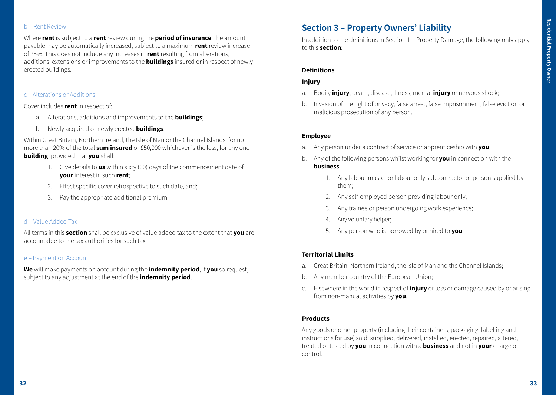#### b – Rent Review

Where **rent** is subject to a **rent** review during the **period of insurance**, the amount payable may be automatically increased, subject to a maximum **rent** review increase of 75%. This does not include any increases in **rent** resulting from alterations, additions, extensions or improvements to the **buildings** insured or in respect of newly erected buildings.

#### c – Alterations or Additions

Cover includes **rent** in respect of:

- a. Alterations, additions and improvements to the **buildings**;
- b. Newly acquired or newly erected **buildings**.

Within Great Britain, Northern Ireland, the Isle of Man or the Channel Islands, for no more than 20% of the total **sum insured** or £50,000 whichever is the less, for any one **building**, provided that **you** shall:

- 1. Give details to **us** within sixty (60) days of the commencement date of **your** interest in such **rent**;
- 2. Effect specific cover retrospective to such date, and;
- 3. Pay the appropriate additional premium.

#### d – Value Added Tax

All terms in this **section** shall be exclusive of value added tax to the extent that **you** are accountable to the tax authorities for such tax.

#### e – Payment on Account

**We** will make payments on account during the **indemnity period**, if **you** so request, subject to any adjustment at the end of the **indemnity period**.

# **Section 3 – Property Owners' Liability**

In addition to the definitions in Section 1 – Property Damage, the following only apply to this **section**:

#### **Definitions**

#### **Injury**

- a. Bodily **injury**, death, disease, illness, mental **injury** or nervous shock;
- b. Invasion of the right of privacy, false arrest, false imprisonment, false eviction or malicious prosecution of any person.

#### **Employee**

- a. Any person under a contract of service or apprenticeship with **you**;
- b. Any of the following persons whilst working for **you** in connection with the **business**:
	- 1. Any labour master or labour only subcontractor or person supplied by them;
	- 2. Any self-employed person providing labour only;
	- 3. Any trainee or person undergoing work experience;
	- 4. Any voluntary helper;
	- 5. Any person who is borrowed by or hired to **you**.

#### **Territorial Limits**

- a. Great Britain, Northern Ireland, the Isle of Man and the Channel Islands;
- b. Any member country of the European Union;
- c. Elsewhere in the world in respect of **injury** or loss or damage caused by or arising from non-manual activities by **you**.

### **Products**

Any goods or other property (including their containers, packaging, labelling and instructions for use) sold, supplied, delivered, installed, erected, repaired, altered, treated or tested by **you** in connection with a **business** and not in **your** charge or control.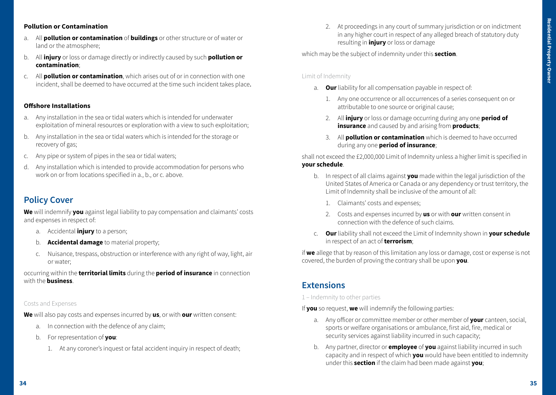### **Pollution or Contamination**

- a. All **pollution or contamination** of **buildings** or other structure or of water or land or the atmosphere;
- b. All **injury** or loss or damage directly or indirectly caused by such **pollution or contamination**;
- c. All **pollution or contamination**, which arises out of or in connection with one incident, shall be deemed to have occurred at the time such incident takes place.

#### **Offshore Installations**

- a. Any installation in the sea or tidal waters which is intended for underwater exploitation of mineral resources or exploration with a view to such exploitation;
- b. Any installation in the sea or tidal waters which is intended for the storage or recovery of gas;
- c. Any pipe or system of pipes in the sea or tidal waters;
- d. Any installation which is intended to provide accommodation for persons who work on or from locations specified in a., b., or c. above.

# **Policy Cover**

**We** will indemnify **you** against legal liability to pay compensation and claimants' costs and expenses in respect of:

- a. Accidental **injury** to a person;
- b. **Accidental damage** to material property;
- c. Nuisance, trespass, obstruction or interference with any right of way, light, air or water;

occurring within the **territorial limits** during the **period of insurance** in connection with the **business**.

#### Costs and Expenses

**We** will also pay costs and expenses incurred by **us**, or with **our** written consent:

- a. In connection with the defence of any claim;
- b. For representation of **you**:
	- 1. At any coroner's inquest or fatal accident inquiry in respect of death;

2. At proceedings in any court of summary jurisdiction or on indictment in any higher court in respect of any alleged breach of statutory duty resulting in **injury** or loss or damage

which may be the subject of indemnity under this **section**.

#### Limit of Indemnity

- a. **Our** liability for all compensation payable in respect of:
	- 1. Any one occurrence or all occurrences of a series consequent on or attributable to one source or original cause;
	- 2. All **injury** or loss or damage occurring during any one **period of insurance** and caused by and arising from **products**;
	- 3. All **pollution or contamination** which is deemed to have occurred during any one **period of insurance**;

shall not exceed the £2,000,000 Limit of Indemnity unless a higher limit is specified in **your schedule**.

- b. In respect of all claims against **you** made within the legal jurisdiction of the United States of America or Canada or any dependency or trust territory, the Limit of Indemnity shall be inclusive of the amount of all:
	- 1. Claimants' costs and expenses;
	- 2. Costs and expenses incurred by **us** or with **our** written consent in connection with the defence of such claims.
- c. **Our** liability shall not exceed the Limit of Indemnity shown in **your schedule** in respect of an act of **terrorism**;

if **we** allege that by reason of this limitation any loss or damage, cost or expense is not covered, the burden of proving the contrary shall be upon **you**.

# **Extensions**

1 – Indemnity to other parties

If **you** so request, **we** will indemnify the following parties:

- a. Any officer or committee member or other member of **your** canteen, social, sports or welfare organisations or ambulance, first aid, fire, medical or security services against liability incurred in such capacity;
- b. Any partner, director or **employee** of **you** against liability incurred in such capacity and in respect of which **you** would have been entitled to indemnity under this **section** if the claim had been made against **you**;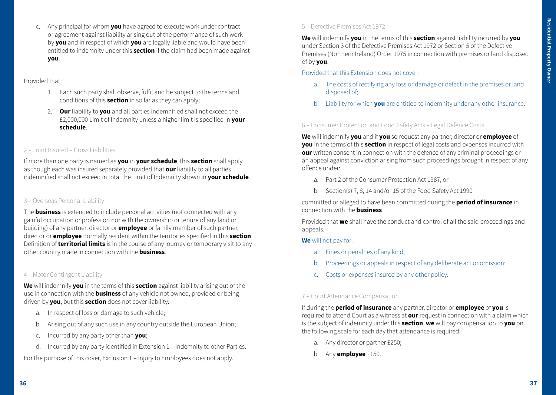c. Any principal for whom **you** have agreed to execute work under contract or agreement against liability arising out of the performance of such work by **you** and in respect of which **you** are legally liable and would have been entitled to indemnity under this **section** if the claim had been made against **you**.

Provided that:

- 1. Each such party shall observe, fulfil and be subject to the terms and conditions of this **section** in so far as they can apply;
- 2. **Our** liability to **you** and all parties indemnified shall not exceed the £2,000,000 Limit of Indemnity unless a higher limit is specified in **your schedule**.

# 2 – Joint Insured – Cross Liabilities

If more than one party is named as **you** in **your schedule**, this **section** shall apply as though each was insured separately provided that **our** liability to all parties indemnified shall not exceed in total the Limit of Indemnity shown in **your schedule**.

### 3 – Overseas Personal Liability

The **business** is extended to include personal activities (not connected with any gainful occupation or profession nor with the ownership or tenure of any land or building) of any partner, director or **employee** or family member of such partner, director or **employee** normally resident within the territories specified in this **section**. Definition of **territorial limits** is in the course of any journey or temporary visit to any other country made in connection with the **business**.

# 4 – Motor Contingent Liability

**We** will indemnify **you** in the terms of this **section** against liability arising out of the use in connection with the **business** of any vehicle not owned, provided or being driven by **you**, but this **section** does not cover liability:

- a. In respect of loss or damage to such vehicle;
- b. Arising out of any such use in any country outside the European Union;
- c. Incurred by any party other than **you**;
- d. Incurred by any party identified in Extension 1 Indemnity to other Parties.

For the purpose of this cover, Exclusion 1 – Injury to Employees does not apply.

# 5 – Defective Premises Act 1972

**We** will indemnify **you** in the terms of this **section** against liability incurred by **you** under Section 3 of the Defective Premises Act 1972 or Section 5 of the Defective Premises (Northern Ireland) Order 1975 in connection with premises or land disposed of by **you**.

Provided that this Extension does not cover:

- a. The costs of rectifying any loss or damage or defect in the premises or land disposed of;
- b. Liability for which **you** are entitled to indemnity under any other insurance.

6 – Consumer Protection and Food Safety Acts – Legal Defence Costs

**We** will indemnify **you** and if **you** so request any partner, director or **employee** of **you** in the terms of this **section** in respect of legal costs and expenses incurred with **our** written consent in connection with the defence of any criminal proceedings or an appeal against conviction arising from such proceedings brought in respect of any offence under:

- a. Part 2 of the Consumer Protection Act 1987; or
- b. Section(s) 7, 8, 14 and/or 15 of the Food Safety Act 1990

committed or alleged to have been committed during the **period of insurance** in connection with the **business**.

Provided that **we** shall have the conduct and control of all the said proceedings and appeals.

**We** will not pay for:

- a. Fines or penalties of any kind;
- b. Proceedings or appeals in respect of any deliberate act or omission;
- c. Costs or expenses insured by any other policy.

# 7 – Court Attendance Compensation

If during the **period of insurance** any partner, director or **employee** of **you** is required to attend Court as a witness at **our** request in connection with a claim which is the subject of indemnity under this **section**, **we** will pay compensation to **you** on the following scale for each day that attendance is required:

- a. Any director or partner £250;
- b. Any **employee** £150.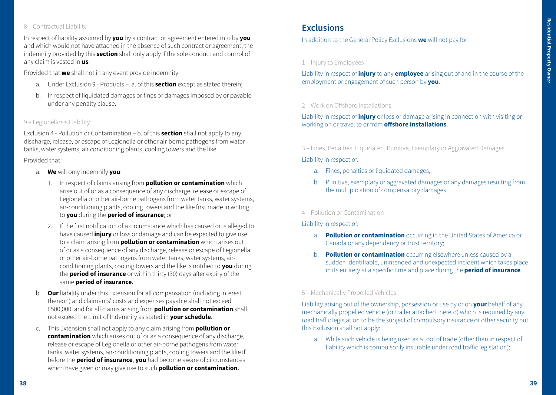# 8 – Contractual Liability

In respect of liability assumed by **you** by a contract or agreement entered into by **you** and which would not have attached in the absence of such contract or agreement, the indemnity provided by this **section** shall only apply if the sole conduct and control of any claim is vested in **us**.

Provided that **we** shall not in any event provide indemnity:

- a. Under Exclusion 9 Products a. of this **section** except as stated therein;
- b. In respect of liquidated damages or fines or damages imposed by or payable under any penalty clause.

### 9 – Legionellosis Liability

Exclusion 4 - Pollution or Contamination – b. of this **section** shall not apply to any discharge, release, or escape of Legionella or other air-borne pathogens from water tanks, water systems, air conditioning plants, cooling towers and the like.

Provided that:

- a. **We** will only indemnify **you**:
	- 1. In respect of claims arising from **pollution or contamination** which arise out of or as a consequence of any discharge, release or escape of Legionella or other air-borne pathogens from water tanks, water systems, air-conditioning plants, cooling towers and the like first made in writing to **you** during the **period of insurance**; or
	- 2. If the first notification of a circumstance which has caused or is alleged to have caused **injury** or loss or damage and can be expected to give rise to a claim arising from **pollution or contamination** which arises out of or as a consequence of any discharge, release or escape of Legionella or other air-borne pathogens from water tanks, water systems, airconditioning plants, cooling towers and the like is notified to **you** during the **period of insurance** or within thirty (30) days after expiry of the same **period of insurance**.
- b. **Our** liability under this Extension for all compensation (including interest thereon) and claimants' costs and expenses payable shall not exceed £500,000, and for all claims arising from **pollution or contamination** shall not exceed the Limit of Indemnity as stated in **your schedule**.
- c. This Extension shall not apply to any claim arising from **pollution or contamination** which arises out of or as a consequence of any discharge, release or escape of Legionella or other air-borne pathogens from water tanks, water systems, air-conditioning plants, cooling towers and the like if before the **period of insurance**, **you** had become aware of circumstances which have given or may give rise to such **pollution or contamination**.

# **Exclusions**

In addition to the General Policy Exclusions **we** will not pay for:

# 1 – Injury to Employees

Liability in respect of **injury** to any **employee** arising out of and in the course of the employment or engagement of such person by **you**.

# 2 – Work on Offshore Installations

Liability in respect of **injury** or loss or damage arising in connection with visiting or working on or travel to or from **offshore installations**.

3 – Fines, Penalties, Liquidated, Punitive, Exemplary or Aggravated Damages

Liability in respect of:

- a. Fines, penalties or liquidated damages;
- b. Punitive, exemplary or aggravated damages or any damages resulting from the multiplication of compensatory damages.

# 4 – Pollution or Contamination

# Liability in respect of:

- a. **Pollution or contamination** occurring in the United States of America or Canada or any dependency or trust territory;
- b. **Pollution or contamination** occurring elsewhere unless caused by a sudden identifiable, unintended and unexpected incident which takes place in its entirety at a specific time and place during the **period of insurance**.

# 5 – Mechanically Propelled Vehicles

Liability arising out of the ownership, possession or use by or on **your** behalf of any mechanically propelled vehicle (or trailer attached thereto) which is required by any road traffic legislation to be the subject of compulsory insurance or other security but this Exclusion shall not apply:

a. While such vehicle is being used as a tool of trade (other than in respect of liability which is compulsorily insurable under road traffic legislation);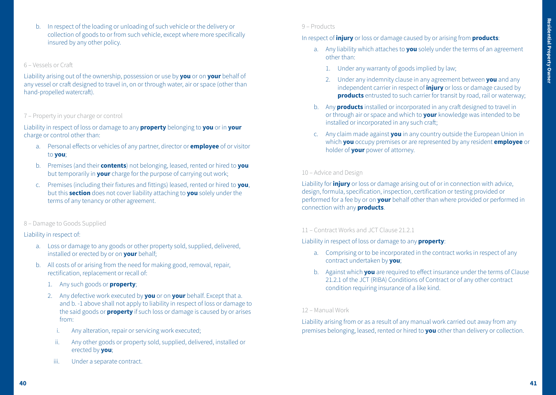b. In respect of the loading or unloading of such vehicle or the delivery or collection of goods to or from such vehicle, except where more specifically insured by any other policy.

#### 6 – Vessels or Craft

Liability arising out of the ownership, possession or use by **you** or on **your** behalf of any vessel or craft designed to travel in, on or through water, air or space (other than hand-propelled watercraft).

#### 7 – Property in your charge or control

Liability in respect of loss or damage to any **property** belonging to **you** or in **your** charge or control other than:

- a. Personal effects or vehicles of any partner, director or **employee** of or visitor to **you**;
- b. Premises (and their **contents**) not belonging, leased, rented or hired to **you** but temporarily in **your** charge for the purpose of carrying out work;
- c. Premises (including their fixtures and fittings) leased, rented or hired to **you**, but this **section** does not cover liability attaching to **you** solely under the terms of any tenancy or other agreement.

#### 8 – Damage to Goods Supplied

#### Liability in respect of:

- a. Loss or damage to any goods or other property sold, supplied, delivered, installed or erected by or on **your** behalf;
- b. All costs of or arising from the need for making good, removal, repair, rectification, replacement or recall of:
	- 1. Any such goods or **property**;
	- 2. Any defective work executed by **you** or on **your** behalf. Except that a. and b. -1 above shall not apply to liability in respect of loss or damage to the said goods or **property** if such loss or damage is caused by or arises from:
		- i. Any alteration, repair or servicing work executed;
		- ii. Any other goods or property sold, supplied, delivered, installed or erected by **you**;
	- iii. Under a separate contract.

#### 9 – Products

In respect of **injury** or loss or damage caused by or arising from **products**:

- a. Any liability which attaches to **you** solely under the terms of an agreement other than:
	- 1. Under any warranty of goods implied by law;
	- 2. Under any indemnity clause in any agreement between **you** and any independent carrier in respect of **injury** or loss or damage caused by **products** entrusted to such carrier for transit by road, rail or waterway;
- b. Any **products** installed or incorporated in any craft designed to travel in or through air or space and which to **your** knowledge was intended to be installed or incorporated in any such craft;
- c. Any claim made against **you** in any country outside the European Union in which **you** occupy premises or are represented by any resident **employee** or holder of **your** power of attorney.

### 10 – Advice and Design

Liability for **injury** or loss or damage arising out of or in connection with advice, design, formula, specification, inspection, certification or testing provided or performed for a fee by or on **your** behalf other than where provided or performed in connection with any **products**.

### 11 – Contract Works and JCT Clause 21.2.1.

Liability in respect of loss or damage to any **property**:

- a. Comprising or to be incorporated in the contract works in respect of any contract undertaken by **you**;
- b. Against which **you** are required to effect insurance under the terms of Clause 21.2.1 of the JCT (RIBA) Conditions of Contract or of any other contract condition requiring insurance of a like kind.

#### 12 – Manual Work

Liability arising from or as a result of any manual work carried out away from any premises belonging, leased, rented or hired to **you** other than delivery or collection.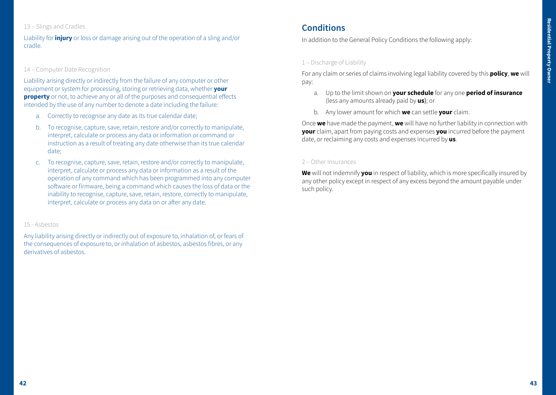# 13 – Slings and Cradles

Liability for **injury** or loss or damage arising out of the operation of a sling and/or cradle.

### 14 – Computer Date Recognition

Liability arising directly or indirectly from the failure of any computer or other equipment or system for processing, storing or retrieving data, whether **your property** or not, to achieve any or all of the purposes and consequential effects intended by the use of any number to denote a date including the failure:

- a. Correctly to recognise any date as its true calendar date;
- b. To recognise, capture, save, retain, restore and/or correctly to manipulate, interpret, calculate or process any data or information or command or instruction as a result of treating any date otherwise than its true calendar date;
- c. To recognise, capture, save, retain, restore and/or correctly to manipulate, interpret, calculate or process any data or information as a result of the operation of any command which has been programmed into any computer software or firmware, being a command which causes the loss of data or the inability to recognise, capture, save, retain, restore, correctly to manipulate, interpret, calculate or process any data on or after any date.

#### 15 - Asbestos

Any liability arising directly or indirectly out of exposure to, inhalation of, or fears of the consequences of exposure to, or inhalation of asbestos, asbestos fibres, or any derivatives of asbestos.

# **Conditions**

In addition to the General Policy Conditions the following apply:

# 1 – Discharge of Liability

For any claim or series of claims involving legal liability covered by this **policy**, **we** will pay:

- a. Up to the limit shown on **your schedule** for any one **period of insurance** (less any amounts already paid by **us**); or
- b. Any lower amount for which **we** can settle **your** claim.

Once **we** have made the payment, **we** will have no further liability in connection with **your** claim, apart from paying costs and expenses **you** incurred before the payment date, or reclaiming any costs and expenses incurred by **us**.

#### 2 – Other Insurances

**We** will not indemnify **you** in respect of liability, which is more specifically insured by any other policy except in respect of any excess beyond the amount payable under such policy.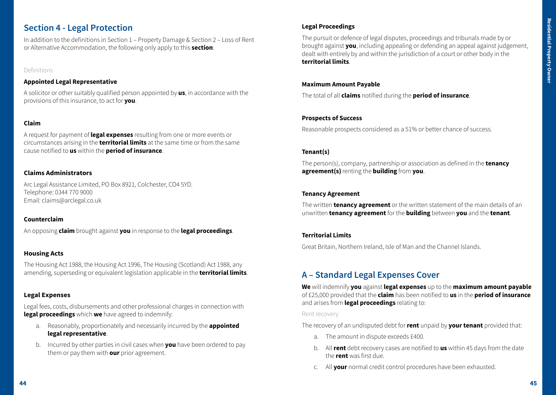# **Section 4 - Legal Protection**

In addition to the definitions in Section 1 – Property Damage & Section 2 – Loss of Rent or Alternative Accommodation, the following only apply to this **section**:

### Definitions

# **Appointed Legal Representative**

A solicitor or other suitably qualified person appointed by **us**, in accordance with the provisions of this insurance, to act for **you**.

# **Claim**

A request for payment of **legal expenses** resulting from one or more events or circumstances arising in the **territorial limits** at the same time or from the same cause notified to **us** within the **period of insurance**.

# **Claims Administrators**

Arc Legal Assistance Limited, PO Box 8921, Colchester, CO4 5YD. Telephone: 0344 770 9000 Email: claims@arclegal.co.uk

# **Counterclaim**

An opposing **claim** brought against **you** in response to the **legal proceedings**.

# **Housing Acts**

The Housing Act 1988, the Housing Act 1996, The Housing (Scotland) Act 1988, any amending, superseding or equivalent legislation applicable in the **territorial limits**.

# **Legal Expenses**

Legal fees, costs, disbursements and other professional charges in connection with **legal proceedings** which **we** have agreed to indemnify:

- a. Reasonably, proportionately and necessarily incurred by the **appointed legal representative**.
- b. Incurred by other parties in civil cases when **you** have been ordered to pay them or pay them with **our** prior agreement.

# **Legal Proceedings**

The pursuit or defence of legal disputes, proceedings and tribunals made by or brought against **you**, including appealing or defending an appeal against judgement, dealt with entirely by and within the jurisdiction of a court or other body in the **territorial limits**.

### **Maximum Amount Payable**

The total of all **claims** notified during the **period of insurance**.

# **Prospects of Success**

Reasonable prospects considered as a 51% or better chance of success.

# **Tenant(s)**

The person(s), company, partnership or association as defined in the **tenancy agreement(s)**renting the **building** from **you**.

### **Tenancy Agreement**

The written **tenancy agreement** or the written statement of the main details of an unwritten **tenancy agreement** for the **building** between **you** and the **tenant**.

# **Territorial Limits**

Great Britain, Northern Ireland, Isle of Man and the Channel Islands.

# **A – Standard Legal Expenses Cover**

**We** will indemnify **you** against **legal expenses** up to the **maximum amount payable** of £25,000 provided that the **claim** has been notified to **us** in the **period of insurance** and arises from **legal proceedings** relating to:

#### Rent recovery

The recovery of an undisputed debt for **rent** unpaid by **your tenant** provided that:

- a. The amount in dispute exceeds £400.
- b. All **rent** debt recovery cases are notified to **us** within 45 days from the date the **rent** was first due.
- c. All **your** normal credit control procedures have been exhausted.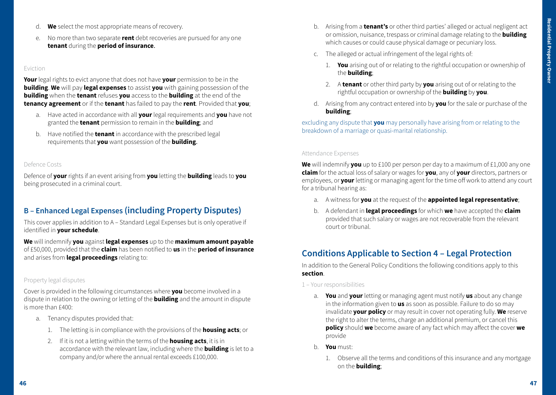- d. **We** select the most appropriate means of recovery.
- e. No more than two separate **rent** debt recoveries are pursued for any one **tenant** during the **period of insurance**.

#### Eviction

**Your** legal rights to evict anyone that does not have **your** permission to be in the **building**. **We** will pay **legal expenses** to assist **you** with gaining possession of the **building** when the **tenant** refuses **you** access to the **building** at the end of the **tenancy agreement** or if the **tenant** has failed to pay the **rent**. Provided that **you**;

- a. Have acted in accordance with all **your** legal requirements and **you** have not granted the **tenant** permission to remain in the **building**; and
- b. Have notified the **tenant** in accordance with the prescribed legal requirements that **you** want possession of the **building**.

#### Defence Costs

Defence of **your** rights if an event arising from **you** letting the **building** leads to **you** being prosecuted in a criminal court.

# **B – Enhanced Legal Expenses (including Property Disputes)**

This cover applies in addition to A – Standard Legal Expenses but is only operative if identified in **your schedule**.

**We** will indemnify **you** against **legal expenses** up to the **maximum amount payable** of £50,000, provided that the **claim** has been notified to **us** in the **period of insurance** and arises from **legal proceedings** relating to:

#### Property legal disputes

Cover is provided in the following circumstances where **you** become involved in a dispute in relation to the owning or letting of the **building** and the amount in dispute is more than £400:

- a. Tenancy disputes provided that:
	- 1. The letting is in compliance with the provisions of the **housing acts**; or
	- 2. If it is not a letting within the terms of the **housing acts**, it is in accordance with the relevant law, including where the **building** is let to a company and/or where the annual rental exceeds £100,000.
- b. Arising from a **tenant's** or other third parties' alleged or actual negligent act or omission, nuisance, trespass or criminal damage relating to the **building** which causes or could cause physical damage or pecuniary loss.
- c. The alleged or actual infringement of the legal rights of:
	- 1. **You** arising out of or relating to the rightful occupation or ownership of the **building**;
	- 2. A **tenant** or other third party by **you** arising out of or relating to the rightful occupation or ownership of the **building** by **you**.
- d. Arising from any contract entered into by **you** for the sale or purchase of the **building**;

excluding any dispute that **you** may personally have arising from or relating to the breakdown of a marriage or quasi-marital relationship.

#### Attendance Expenses

**We** will indemnify **you** up to £100 per person per day to a maximum of £1,000 any one **claim** for the actual loss of salary or wages for **you**, any of **your** directors, partners or employees, or **your** letting or managing agent for the time off work to attend any court for a tribunal hearing as:

- a. A witness for **you** at the request of the **appointed legal representative**;
- b. A defendant in **legal proceedings** for which **we** have accepted the **claim** provided that such salary or wages are not recoverable from the relevant court or tribunal.

# **Conditions Applicable to Section 4 – Legal Protection**

In addition to the General Policy Conditions the following conditions apply to this **section**.

- 1 Your responsibilities
	- a. **You** and **your** letting or managing agent must notify **us** about any change in the information given to **us** as soon as possible. Failure to do so may invalidate **your policy** or may result in cover not operating fully. **We** reserve the right to alter the terms, charge an additional premium, or cancel this **policy** should **we** become aware of any fact which may affect the cover **we** provide
	- b. **You** must:
		- 1. Observe all the terms and conditions of this insurance and any mortgage on the **building**;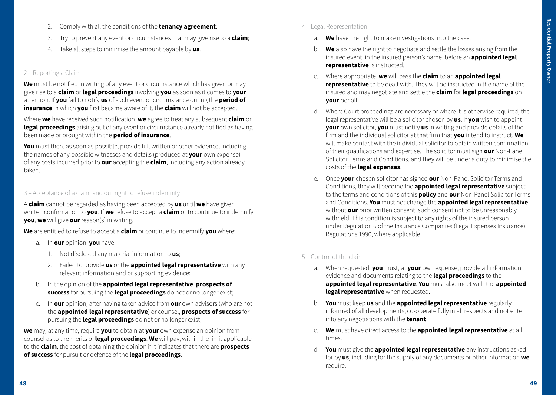- 2. Comply with all the conditions of the **tenancy agreement**;
- 3. Try to prevent any event or circumstances that may give rise to a **claim**;
- 4. Take all steps to minimise the amount payable by **us**.

# 2 – Reporting a Claim

**We** must be notified in writing of any event or circumstance which has given or may give rise to a **claim** or **legal proceedings** involving **you** as soon as it comes to **your** attention. If **you** fail to notify **us** of such event or circumstance during the **period of insurance** in which **you** first became aware of it, the **claim** will not be accepted.

Where **we** have received such notification, **we** agree to treat any subsequent **claim** or **legal proceedings** arising out of any event or circumstance already notified as having been made or brought within the **period of insurance**.

**You** must then, as soon as possible, provide full written or other evidence, including the names of any possible witnesses and details (produced at **your** own expense) of any costs incurred prior to **our** accepting the **claim**, including any action already taken.

# 3 – Acceptance of a claim and our right to refuse indemnity

A **claim** cannot be regarded as having been accepted by **us** until **we** have given written confirmation to **you**. If **we** refuse to accept a **claim** or to continue to indemnify **you**, **we** will give **our** reason(s) in writing.

**We** are entitled to refuse to accept a **claim** or continue to indemnify **you** where:

- a. In **our** opinion, **you** have:
	- 1. Not disclosed any material information to **us**;
	- 2. Failed to provide **us** or the **appointed legal representative** with any relevant information and or supporting evidence;
- b. In the opinion of the **appointed legal representative**, **prospects of success** for pursuing the **legal proceedings** do not or no longer exist;
- c. In **our** opinion, after having taken advice from **our** own advisors (who are not the **appointed legal representative**) or counsel, **prospects of success** for pursuing the **legal proceedings** do not or no longer exist;

**we** may, at any time, require **you** to obtain at **your** own expense an opinion from counsel as to the merits of **legal proceedings**. **We** will pay, within the limit applicable to the **claim**, the cost of obtaining the opinion if it indicates that there are **prospects of success** for pursuit or defence of the **legal proceedings**.

- 4 Legal Representation
	- a. **We** have the right to make investigations into the case.
	- b. **We** also have the right to negotiate and settle the losses arising from the insured event, in the insured person's name, before an **appointed legal representative** is instructed.
	- c. Where appropriate, **we** will pass the **claim** to an **appointed legal representative** to be dealt with. They will be instructed in the name of the insured and may negotiate and settle the **claim** for **legal proceedings** on **your** behalf.
	- d. Where Court proceedings are necessary or where it is otherwise required, the legal representative will be a solicitor chosen by **us**. If **you** wish to appoint **your** own solicitor, **you** must notify **us** in writing and provide details of the firm and the individual solicitor at that firm that **you** intend to instruct. **We** will make contact with the individual solicitor to obtain written confirmation of their qualifications and expertise. The solicitor must sign **our** Non-Panel Solicitor Terms and Conditions, and they will be under a duty to minimise the costs of the **legal expenses**.
	- e. Once **your** chosen solicitor has signed **our** Non-Panel Solicitor Terms and Conditions, they will become the **appointed legal representative** subject to the terms and conditions of this **policy** and **our** Non-Panel Solicitor Terms and Conditions. **You** must not change the **appointed legal representative**  without **our** prior written consent; such consent not to be unreasonably withheld. This condition is subject to any rights of the insured person under Regulation 6 of the Insurance Companies (Legal Expenses Insurance) Regulations 1990, where applicable.

# 5 – Control of the claim

- a. When requested, **you** must, at **your** own expense, provide all information, evidence and documents relating to the **legal proceedings** to the **appointed legal representative**. **You** must also meet with the **appointed legal representative** when requested.
- b. **You** must keep **us** and the **appointed legal representative** regularly informed of all developments, co-operate fully in all respects and not enter into any negotiations with the **tenant**.
- c. **We** must have direct access to the **appointed legal representative** at all times.
- d. **You** must give the **appointed legal representative** any instructions asked for by **us**, including for the supply of any documents or other information **we** require.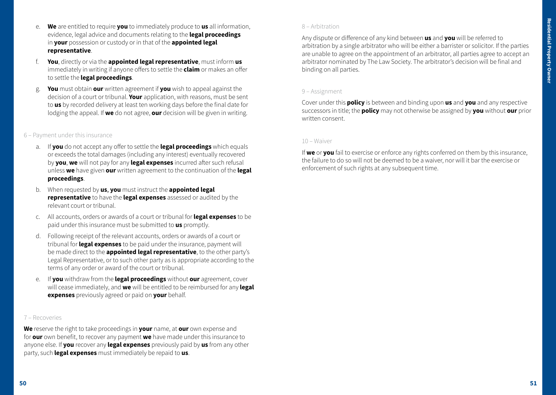- e. **We** are entitled to require **you** to immediately produce to **us** all information, evidence, legal advice and documents relating to the **legal proceedings** in **your** possession or custody or in that of the **appointed legal representative**.
- f. **You**, directly or via the **appointed legal representative**, must inform **us** immediately in writing if anyone offers to settle the **claim** or makes an offer to settle the **legal proceedings**.
- g. **You** must obtain **our** written agreement if **you** wish to appeal against the decision of a court or tribunal. **Your** application, with reasons, must be sent to **us** by recorded delivery at least ten working days before the final date for lodging the appeal. If **we** do not agree, **our** decision will be given in writing.

### 6 – Payment under this insurance

- a. If **you** do not accept any offer to settle the **legal proceedings** which equals or exceeds the total damages (including any interest) eventually recovered by **you**, **we** will not pay for any **legal expenses** incurred after such refusal unless **we** have given **our** written agreement to the continuation of the **legal proceedings**.
- b. When requested by **us**, **you** must instruct the **appointed legal representative** to have the **legal expenses** assessed or audited by the relevant court or tribunal.
- c. All accounts, orders or awards of a court or tribunal for **legal expenses** to be paid under this insurance must be submitted to **us** promptly.
- d. Following receipt of the relevant accounts, orders or awards of a court or tribunal for **legal expenses** to be paid under the insurance, payment will be made direct to the **appointed legal representative**, to the other party's Legal Representative, or to such other party as is appropriate according to the terms of any order or award of the court or tribunal.
- e. If **you** withdraw from the **legal proceedings** without **our** agreement, cover will cease immediately, and **we** will be entitled to be reimbursed for any **legal expenses** previously agreed or paid on **your** behalf.

#### 7 – Recoveries

**We** reserve the right to take proceedings in **your** name, at **our** own expense and for **our** own benefit, to recover any payment **we** have made under this insurance to anyone else. If **you** recover any **legal expenses** previously paid by **us** from any other party, such **legal expenses** must immediately be repaid to **us**.

#### 8 – Arbitration

Any dispute or difference of any kind between **us** and **you** will be referred to arbitration by a single arbitrator who will be either a barrister or solicitor. If the parties are unable to agree on the appointment of an arbitrator, all parties agree to accept an arbitrator nominated by The Law Society. The arbitrator's decision will be final and binding on all parties.

#### 9 – Assignment

Cover under this **policy** is between and binding upon **us** and **you** and any respective successors in title; the **policy** may not otherwise be assigned by **you** without **our** prior written consent.

#### 10 – Waiver

If **we** or **you** fail to exercise or enforce any rights conferred on them by this insurance, the failure to do so will not be deemed to be a waiver, nor will it bar the exercise or enforcement of such rights at any subsequent time.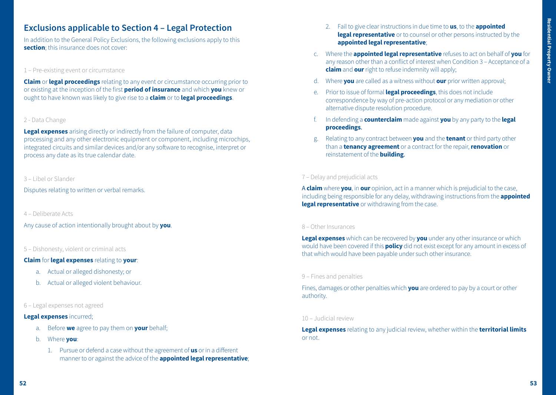# **Exclusions applicable to Section 4 – Legal Protection**

In addition to the General Policy Exclusions, the following exclusions apply to this **section**; this insurance does not cover:

#### 1 – Pre-existing event or circumstance

**Claim** or **legal proceedings** relating to any event or circumstance occurring prior to or existing at the inception of the first **period of insurance** and which **you** knew or ought to have known was likely to give rise to a **claim** or to **legal proceedings**.

#### 2 - Data Change

**Legal expenses** arising directly or indirectly from the failure of computer, data processing and any other electronic equipment or component, including microchips, integrated circuits and similar devices and/or any software to recognise, interpret or process any date as its true calendar date.

### 3 – Libel or Slander

Disputes relating to written or verbal remarks.

4 – Deliberate Acts

Any cause of action intentionally brought about by **you**.

# 5 – Dishonesty, violent or criminal acts

#### **Claim** for **legal expenses** relating to **your**:

- a. Actual or alleged dishonesty; or
- b. Actual or alleged violent behaviour.

#### 6 – Legal expenses not agreed

#### **Legal expenses** incurred;

- a. Before **we** agree to pay them on **your** behalf;
- b. Where **you**:
	- 1. Pursue or defend a case without the agreement of **us** or in a different manner to or against the advice of the **appointed legal representative**;
- 2. Fail to give clear instructions in due time to **us**, to the **appointed legal representative** or to counsel or other persons instructed by the **appointed legal representative**;
- c. Where the **appointed legal representative** refuses to act on behalf of **you** for any reason other than a conflict of interest when Condition 3 – Acceptance of a **claim** and **our**right to refuse indemnity will apply;
- d. Where **you** are called as a witness without **our** prior written approval;
- e. Prior to issue of formal **legal proceedings**, this does not include correspondence by way of pre-action protocol or any mediation or other alternative dispute resolution procedure.
- f. In defending a **counterclaim** made against **you** by any party to the **legal proceedings**.
- g. Relating to any contract between **you** and the **tenant** or third party other than a **tenancy agreement** or a contract for the repair,**renovation** or reinstatement of the **building**.

### 7 – Delay and prejudicial acts

A **claim** where **you**, in **our** opinion, act in a manner which is prejudicial to the case, including being responsible for any delay, withdrawing instructions from the **appointed legal representative** or withdrawing from the case.

#### 8 – Other Insurances

**Legal expenses** which can be recovered by **you** under any other insurance or which would have been covered if this **policy** did not exist except for any amount in excess of that which would have been payable under such other insurance.

#### 9 – Fines and penalties

Fines, damages or other penalties which **you** are ordered to pay by a court or other authority.

#### 10 – Judicial review

**Legal expenses** relating to any judicial review, whether within the **territorial limits** or not.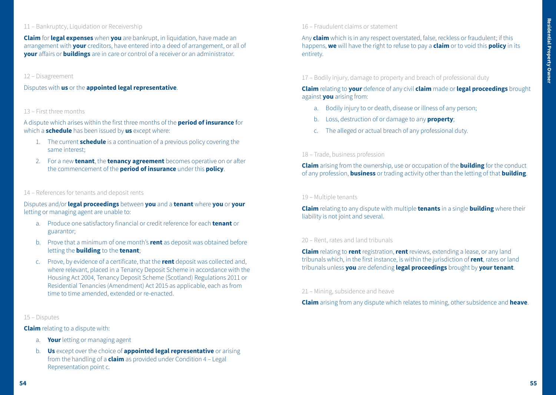#### 11 – Bankruptcy, Liquidation or Receivership

**Claim** for **legal expenses** when **you** are bankrupt, in liquidation, have made an arrangement with **your** creditors, have entered into a deed of arrangement, or all of **your** affairs or **buildings** are in care or control of a receiver or an administrator.

#### 12 – Disagreement

Disputes with **us** or the **appointed legal representative**.

#### 13 – First three months

A dispute which arises within the first three months of the **period of insurance** for which a **schedule** has been issued by **us** except where:

- 1. The current **schedule** is a continuation of a previous policy covering the same interest;
- 2. For a new **tenant**, the **tenancy agreement** becomes operative on or after the commencement of the **period of insurance** under this **policy**.

#### 14 – References for tenants and deposit rents

Disputes and/or **legal proceedings** between **you** and a **tenant** where **you** or **your**  letting or managing agent are unable to:

- a. Produce one satisfactory financial or credit reference for each **tenant** or guarantor;
- b. Prove that a minimum of one month's **rent** as deposit was obtained before letting the **building** to the **tenant**;
- c. Prove, by evidence of a certificate, that the **rent** deposit was collected and, where relevant, placed in a Tenancy Deposit Scheme in accordance with the Housing Act 2004, Tenancy Deposit Scheme (Scotland) Regulations 2011 or Residential Tenancies (Amendment) Act 2015 as applicable, each as from time to time amended, extended or re-enacted.

#### 15 – Disputes

**Claim** relating to a dispute with:

- a. **Your** letting or managing agent
- b. **Us** except over the choice of **appointed legal representative** or arising from the handling of a **claim** as provided under Condition 4 – Legal Representation point c.

### 16 – Fraudulent claims or statement

Any **claim** which is in any respect overstated, false, reckless or fraudulent; if this happens, **we** will have the right to refuse to pay a **claim** or to void this **policy** in its entirety.

17 – Bodily injury, damage to property and breach of professional duty

**Claim** relating to **your** defence of any civil **claim** made or **legal proceedings** brought against **you** arising from:

- a. Bodily injury to or death, disease or illness of any person;
- b. Loss, destruction of or damage to any **property**;
- c. The alleged or actual breach of any professional duty.

### 18 – Trade, business profession

**Claim** arising from the ownership, use or occupation of the **building** for the conduct of any profession, **business** or trading activity other than the letting of that **building**.

#### 19 – Multiple tenants

**Claim** relating to any dispute with multiple **tenants** in a single **building** where their liability is not joint and several.

#### 20 – Rent, rates and land tribunals

**Claim** relating to **rent** registration, **rent** reviews, extending a lease, or any land tribunals which, in the first instance, is within the jurisdiction of **rent**, rates or land tribunals unless **you** are defending **legal proceedings** brought by **your tenant**.

#### 21 – Mining, subsidence and heave

**Claim** arising from any dispute which relates to mining, other subsidence and **heave**.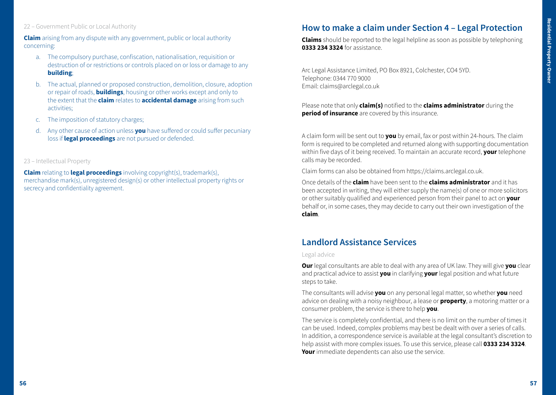# 22 – Government Public or Local Authority

**Claim** arising from any dispute with any government, public or local authority concerning:

- a. The compulsory purchase, confiscation, nationalisation, requisition or destruction of or restrictions or controls placed on or loss or damage to any **building**;
- b. The actual, planned or proposed construction, demolition, closure, adoption or repair of roads, **buildings**, housing or other works except and only to the extent that the **claim** relates to **accidental damage** arising from such activities;
- c. The imposition of statutory charges;
- d. Any other cause of action unless **you** have suffered or could suffer pecuniary loss if **legal proceedings** are not pursued or defended.
- 23 Intellectual Property

**Claim** relating to **legal proceedings** involving copyright(s), trademark(s), merchandise mark(s), unregistered design(s) or other intellectual property rights or secrecy and confidentiality agreement.

# **How to make a claim under Section 4 – Legal Protection**

**Claims** should be reported to the legal helpline as soon as possible by telephoning **0333 234 3324** for assistance.

Arc Legal Assistance Limited, PO Box 8921, Colchester, CO4 5YD. Telephone: 0344 770 9000 Email: claims@arclegal.co.uk

Please note that only **claim(s)** notified to the **claims administrator** during the **period of insurance** are covered by this insurance.

A claim form will be sent out to **you** by email, fax or post within 24-hours. The claim form is required to be completed and returned along with supporting documentation within five days of it being received. To maintain an accurate record, **your** telephone calls may be recorded.

Claim forms can also be obtained from https://claims.arclegal.co.uk.

Once details of the **claim** have been sent to the **claims administrator** and it has been accepted in writing, they will either supply the name(s) of one or more solicitors or other suitably qualified and experienced person from their panel to act on **your** behalf or, in some cases, they may decide to carry out their own investigation of the **claim**.

# **Landlord Assistance Services**

#### Legal advice

**Our** legal consultants are able to deal with any area of UK law. They will give **you** clear and practical advice to assist **you** in clarifying **your** legal position and what future steps to take.

The consultants will advise **you** on any personal legal matter, so whether **you** need advice on dealing with a noisy neighbour, a lease or **property**, a motoring matter or a consumer problem, the service is there to help **you**.

The service is completely confidential, and there is no limit on the number of times it can be used. Indeed, complex problems may best be dealt with over a series of calls. In addition, a correspondence service is available at the legal consultant's discretion to help assist with more complex issues. To use this service, please call **0333 234 3324**. **Your** immediate dependents can also use the service.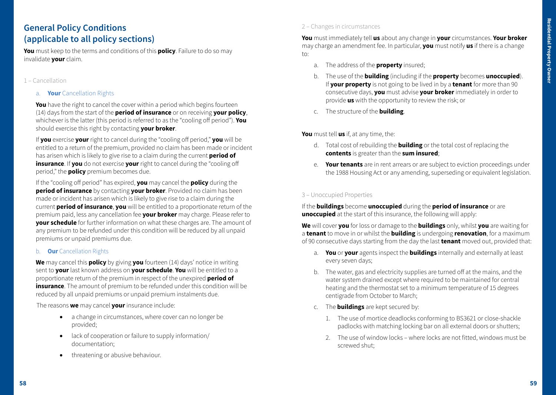# **General Policy Conditions (applicable to all policy sections)**

**You** must keep to the terms and conditions of this **policy**. Failure to do so may invalidate **your** claim.

### 1 – Cancellation

a. **Your** Cancellation Rights

**You** have the right to cancel the cover within a period which begins fourteen (14) days from the start of the **period of insurance** or on receiving **your policy**, whichever is the latter (this period is referred to as the "cooling off period"). **You** should exercise this right by contacting **your broker**.

If **you** exercise **your** right to cancel during the "cooling off period," **you** will be entitled to a return of the premium, provided no claim has been made or incident has arisen which is likely to give rise to a claim during the current **period of insurance**. If you do not exercise your right to cancel during the "cooling off period," the **policy** premium becomes due.

If the "cooling off period" has expired, **you** may cancel the **policy** during the **period of insurance** by contacting **your broker**. Provided no claim has been made or incident has arisen which is likely to give rise to a claim during the current **period of insurance**, **you** will be entitled to a proportionate return of the premium paid, less any cancellation fee **your broker** may charge. Please refer to **your schedule** for further information on what these charges are. The amount of any premium to be refunded under this condition will be reduced by all unpaid premiums or unpaid premiums due.

# b. **Our** Cancellation Rights

**We** may cancel this **policy** by giving **you** fourteen (14) days' notice in writing sent to **your** last known address on **your schedule**. **You** will be entitled to a proportionate return of the premium in respect of the unexpired **period of insurance**. The amount of premium to be refunded under this condition will be reduced by all unpaid premiums or unpaid premium instalments due.

The reasons **we** may cancel **your** insurance include:

- a change in circumstances, where cover can no longer be provided;
- lack of cooperation or failure to supply information/ documentation;
- threatening or abusive behaviour.

# 2 – Changes in circumstances

**You** must immediately tell **us** about any change in **your** circumstances. **Your broker** may charge an amendment fee. In particular, **you** must notify **us** if there is a change to:

- a. The address of the **property** insured;
- b. The use of the **building** (including if the **property** becomes **unoccupied**). If **your property** is not going to be lived in by a **tenant** for more than 90 consecutive days, **you** must advise **your broker** immediately in order to provide **us** with the opportunity to review the risk; or
- c. The structure of the **building**.

**You** must tell **us** if, at any time, the:

- d. Total cost of rebuilding the **building** or the total cost of replacing the **contents** is greater than the **sum insured**;
- e. **Your tenants** are in rent arrears or are subject to eviction proceedings under the 1988 Housing Act or any amending, superseding or equivalent legislation.

# 3 – Unoccupied Properties

If the **buildings** become **unoccupied** during the **period of insurance** or are **unoccupied** at the start of this insurance, the following will apply:

**We** will cover **you** for loss or damage to the **buildings** only, whilst **you** are waiting for a **tenant** to move in or whilst the **building** is undergoing **renovation**, for a maximum of 90 consecutive days starting from the day the last **tenant** moved out, provided that:

- a. **You** or **your** agents inspect the **buildings** internally and externally at least every seven days;
- b. The water, gas and electricity supplies are turned off at the mains, and the water system drained except where required to be maintained for central heating and the thermostat set to a minimum temperature of 15 degrees centigrade from October to March;
- c. The **buildings** are kept secured by:
	- 1. The use of mortice deadlocks conforming to BS3621 or close-shackle padlocks with matching locking bar on all external doors or shutters;
	- 2. The use of window locks where locks are not fitted, windows must be screwed shut;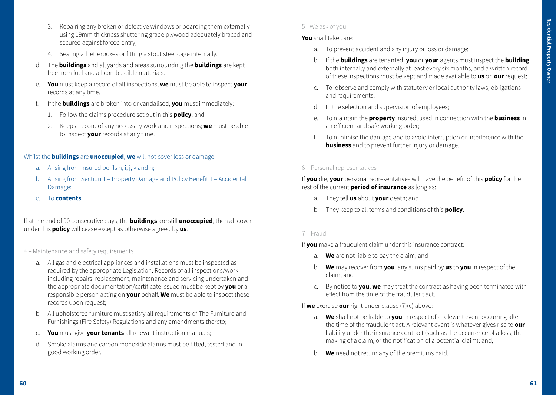- 3. Repairing any broken or defective windows or boarding them externally using 19mm thickness shuttering grade plywood adequately braced and secured against forced entry;
- 4. Sealing all letterboxes or fitting a stout steel cage internally.
- d. The **buildings** and all yards and areas surrounding the **buildings** are kept free from fuel and all combustible materials.
- e. **You** must keep a record of all inspections; **we** must be able to inspect **your**  records at any time.
- f. If the **buildings** are broken into or vandalised, **you** must immediately:
	- 1. Follow the claims procedure set out in this **policy**; and
	- 2. Keep a record of any necessary work and inspections; **we** must be able to inspect **your** records at any time.

### Whilst the **buildings** are **unoccupied**, **we** will not cover loss or damage:

- a. Arising from insured perils h, i, j, k and n;
- b. Arising from Section 1 Property Damage and Policy Benefit 1 Accidental Damage;
- c. To **contents**.

If at the end of 90 consecutive days, the **buildings** are still **unoccupied**, then all cover under this **policy** will cease except as otherwise agreed by **us**.

- 4 Maintenance and safety requirements
	- a. All gas and electrical appliances and installations must be inspected as required by the appropriate Legislation. Records of all inspections/work including repairs, replacement, maintenance and servicing undertaken and the appropriate documentation/certificate issued must be kept by **you** or a responsible person acting on **your** behalf. **We** must be able to inspect these records upon request;
	- b. All upholstered furniture must satisfy all requirements of The Furniture and Furnishings (Fire Safety) Regulations and any amendments thereto;
	- c. **You** must give **your tenants** all relevant instruction manuals;
	- d. Smoke alarms and carbon monoxide alarms must be fitted, tested and in good working order.

# 5 - We ask of you

# **You** shall take care:

- a. To prevent accident and any injury or loss or damage;
- b. If the **buildings** are tenanted, **you** or **your** agents must inspect the **building** both internally and externally at least every six months, and a written record of these inspections must be kept and made available to **us** on **our** request;
- c. To observe and comply with statutory or local authority laws, obligations and requirements;
- d. In the selection and supervision of employees;
- e. To maintain the **property** insured, used in connection with the **business** in an efficient and safe working order;
- f. To minimise the damage and to avoid interruption or interference with the **business** and to prevent further injury or damage.

# 6 – Personal representatives

If **you** die, **your** personal representatives will have the benefit of this **policy** for the rest of the current **period of insurance** as long as:

- a. They tell **us** about **your** death; and
- b. They keep to all terms and conditions of this **policy**.

# 7 – Fraud

If **you** make a fraudulent claim under this insurance contract:

- a. **We** are not liable to pay the claim; and
- b. **We** may recover from **you**, any sums paid by **us** to **you** in respect of the claim; and
- c. By notice to **you**, **we** may treat the contract as having been terminated with effect from the time of the fraudulent act.

If **we** exercise **our** right under clause (7)(c) above:

- a. **We** shall not be liable to **you** in respect of a relevant event occurring after the time of the fraudulent act. A relevant event is whatever gives rise to **our** liability under the insurance contract (such as the occurrence of a loss, the making of a claim, or the notification of a potential claim); and,
- b. **We** need not return any of the premiums paid.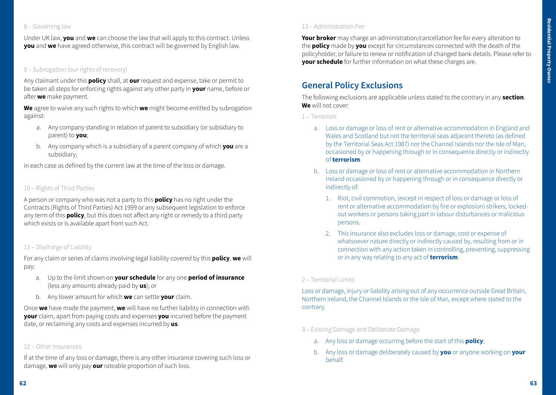# 8 – Governing law

Under UK law, **you** and **we** can choose the law that will apply to this contract. Unless **you** and **we** have agreed otherwise, this contract will be governed by English law.

# 9 – Subrogation (our rights of recovery)

Any claimant under this **policy** shall, at **our** request and expense, take or permit to be taken all steps for enforcing rights against any other party in **your** name, before or after **we** make payment.

**We** agree to waive any such rights to which **we** might become entitled by subrogation against:

- a. Any company standing in relation of parent to subsidiary (or subsidiary to parent) to **you**;
- b. Any company which is a subsidiary of a parent company of which **you** are a subsidiary;

in each case as defined by the current law at the time of the loss or damage.

# 10 – Rights of Third Parties

A person or company who was not a party to this **policy** has no right under the Contracts (Rights of Third Parties) Act 1999 or any subsequent legislation to enforce any term of this **policy**, but this does not affect any right or remedy to a third party which exists or is available apart from such Act.

#### 11 – Discharge of Liability

For any claim or series of claims involving legal liability covered by this **policy**, **we** will pay:

- a. Up to the limit shown on **your schedule** for any one **period of insurance** (less any amounts already paid by **us**); or
- b. Any lower amount for which **we** can settle **your** claim.

Once **we** have made the payment, **we** will have no further liability in connection with **your** claim, apart from paying costs and expenses **you** incurred before the payment date, or reclaiming any costs and expenses incurred by **us**.

#### 12 – Other Insurances

If at the time of any loss or damage, there is any other insurance covering such loss or damage, **we** will only pay **our** rateable proportion of such loss.

**Your broker** may charge an administration/cancellation fee for every alteration to the **policy** made by **you** except for circumstances connected with the death of the policyholder, or failure to renew or notification of changed bank details. Please refer to **your schedule** for further information on what these charges are.

# **General Policy Exclusions**

The following exclusions are applicable unless stated to the contrary in any **section**. **We** will not cover:

1 – Terrorism

- a. Loss or damage or loss of rent or alternative accommodation in England and Wales and Scotland but not the territorial seas adjacent thereto (as defined by the Territorial Seas Act 1987) nor the Channel Islands nor the Isle of Man, occasioned by or happening through or in consequence directly or indirectly of **terrorism**.
- b. Loss or damage or loss of rent or alternative accommodation in Northern Ireland occasioned by or happening through or in consequence directly or indirectly of:
	- 1. Riot, civil commotion, (except in respect of loss or damage or loss of rent or alternative accommodation by fire or explosion) strikers, lockedout workers or persons taking part in labour disturbances or malicious persons.
	- 2. This insurance also excludes loss or damage, cost or expense of whatsoever nature directly or indirectly caused by, resulting from or in connection with any action taken in controlling, preventing, suppressing or in any way relating to any act of **terrorism**.

# 2 – Territorial Limits

Loss or damage, injury or liability arising out of any occurrence outside Great Britain, Northern Ireland, the Channel Islands or the Isle of Man, except where stated to the contrary.

- 3 Existing Damage and Deliberate Damage
	- a. Any loss or damage occurring before the start of this **policy**;
	- b. Any loss or damage deliberately caused by **you** or anyone working on **your** behalf.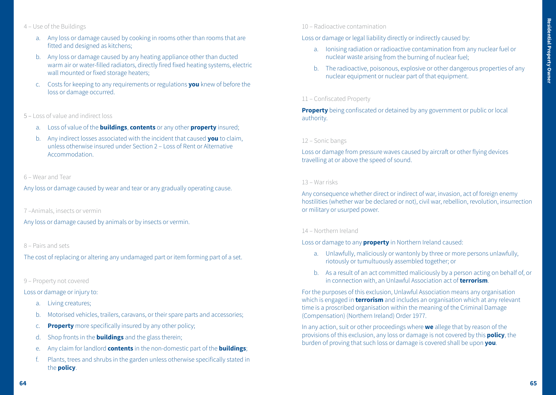# 4 – Use of the Buildings

- a. Any loss or damage caused by cooking in rooms other than rooms that are fitted and designed as kitchens;
- b. Any loss or damage caused by any heating appliance other than ducted warm air or water-filled radiators, directly fired fixed heating systems, electric wall mounted or fixed storage heaters;
- c. Costs for keeping to any requirements or regulations **you** knew of before the loss or damage occurred.

#### 5 – Loss of value and indirect loss

- a. Loss of value of the **buildings**, **contents** or any other **property** insured;
- b. Any indirect losses associated with the incident that caused **you** to claim, unless otherwise insured under Section 2 – Loss of Rent or Alternative **Accommodation**

#### 6 – Wear and Tear

Any loss or damage caused by wear and tear or any gradually operating cause.

#### 7 –Animals, insects or vermin

Any loss or damage caused by animals or by insects or vermin.

#### 8 – Pairs and sets

The cost of replacing or altering any undamaged part or item forming part of a set.

#### 9 – Property not covered

#### Loss or damage or injury to:

- a. Living creatures;
- b. Motorised vehicles, trailers, caravans, or their spare parts and accessories;
- c. **Property** more specifically insured by any other policy;
- d. Shop fronts in the **buildings** and the glass therein;
- e. Any claim for landlord **contents** in the non-domestic part of the **buildings**;
- f. Plants, trees and shrubs in the garden unless otherwise specifically stated in the **policy**.

#### 10 – Radioactive contamination

Loss or damage or legal liability directly or indirectly caused by:

- a. Ionising radiation or radioactive contamination from any nuclear fuel or nuclear waste arising from the burning of nuclear fuel;
- b. The radioactive, poisonous, explosive or other dangerous properties of any nuclear equipment or nuclear part of that equipment.

# 11 – Confiscated Property

**Property** being confiscated or detained by any government or public or local authority.

#### 12 – Sonic bangs

Loss or damage from pressure waves caused by aircraft or other flying devices travelling at or above the speed of sound.

#### 13 – War risks

Any consequence whether direct or indirect of war, invasion, act of foreign enemy hostilities (whether war be declared or not), civil war, rebellion, revolution, insurrection or military or usurped power.

#### 14 – Northern Ireland

Loss or damage to any **property** in Northern Ireland caused:

- a. Unlawfully, maliciously or wantonly by three or more persons unlawfully, riotously or tumultuously assembled together; or
- b. As a result of an act committed maliciously by a person acting on behalf of, or in connection with, an Unlawful Association act of **terrorism**.

For the purposes of this exclusion, Unlawful Association means any organisation which is engaged in **terrorism** and includes an organisation which at any relevant time is a proscribed organisation within the meaning of the Criminal Damage (Compensation) (Northern Ireland) Order 1977.

In any action, suit or other proceedings where **we** allege that by reason of the provisions of this exclusion, any loss or damage is not covered by this **policy**, the burden of proving that such loss or damage is covered shall be upon **you**.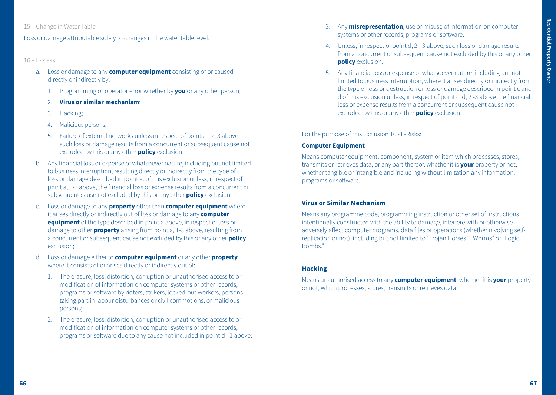### 15 – Change in Water Table

Loss or damage attributable solely to changes in the water table level.

### 16 – E-Risks

- a. Loss or damage to any **computer equipment** consisting of or caused directly or indirectly by:
	- 1. Programming or operator error whether by **you** or any other person;
	- 2. **Virus or similar mechanism**;
	- 3. Hacking;
	- 4. Malicious persons;
	- 5. Failure of external networks unless in respect of points 1, 2, 3 above, such loss or damage results from a concurrent or subsequent cause not excluded by this or any other **policy** exclusion.
- b. Any financial loss or expense of whatsoever nature, including but not limited to business interruption, resulting directly or indirectly from the type of loss or damage described in point a. of this exclusion unless, in respect of point a, 1-3 above, the financial loss or expense results from a concurrent or subsequent cause not excluded by this or any other **policy** exclusion;
- c. Loss or damage to any **property** other than **computer equipment** where it arises directly or indirectly out of loss or damage to any **computer equipment** of the type described in point a above, in respect of loss or damage to other **property** arising from point a, 1-3 above, resulting from a concurrent or subsequent cause not excluded by this or any other **policy** exclusion;
- d. Loss or damage either to **computer equipment** or any other **property** where it consists of or arises directly or indirectly out of:
	- 1. The erasure, loss, distortion, corruption or unauthorised access to or modification of information on computer systems or other records, programs or software by rioters, strikers, locked-out workers, persons taking part in labour disturbances or civil commotions, or malicious persons;
	- 2. The erasure, loss, distortion, corruption or unauthorised access to or modification of information on computer systems or other records, programs or software due to any cause not included in point d - 1 above;
- 3. Any **misrepresentation**, use or misuse of information on computer systems or other records, programs or software.
- 4. Unless, in respect of point d, 2 3 above, such loss or damage results from a concurrent or subsequent cause not excluded by this or any other **policy** exclusion.
- 5. Any financial loss or expense of whatsoever nature, including but not limited to business interruption, where it arises directly or indirectly from the type of loss or destruction or loss or damage described in point c and d of this exclusion unless, in respect of point c, d, 2 -3 above the financial loss or expense results from a concurrent or subsequent cause not excluded by this or any other **policy** exclusion.

#### For the purpose of this Exclusion 16 - E-Risks:

#### **Computer Equipment**

Means computer equipment, component, system or item which processes, stores, transmits or retrieves data, or any part thereof, whether it is **your** property or not, whether tangible or intangible and including without limitation any information, programs or software.

# **Virus or Similar Mechanism**

Means any programme code, programming instruction or other set of instructions intentionally constructed with the ability to damage, interfere with or otherwise adversely affect computer programs, data files or operations (whether involving selfreplication or not), including but not limited to "Trojan Horses," "Worms" or "Logic Bombs."

# **Hacking**

Means unauthorised access to any **computer equipment**, whether it is **your** property or not, which processes, stores, transmits or retrieves data.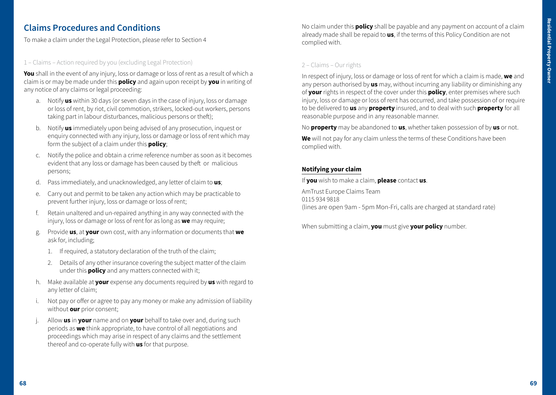# **Claims Procedures and Conditions**

To make a claim under the Legal Protection, please refer to Section 4

# 1 – Claims – Action required by you (excluding Legal Protection)

**You** shall in the event of any injury, loss or damage or loss of rent as a result of which a claim is or may be made under this **policy** and again upon receipt by **you** in writing of any notice of any claims or legal proceeding:

- a. Notify **us** within 30 days (or seven days in the case of injury, loss or damage or loss of rent, by riot, civil commotion, strikers, locked-out workers, persons taking part in labour disturbances, malicious persons or theft);
- b. Notify **us** immediately upon being advised of any prosecution, inquest or enquiry connected with any injury, loss or damage or loss of rent which may form the subject of a claim under this **policy**;
- c. Notify the police and obtain a crime reference number as soon as it becomes evident that any loss or damage has been caused by theft or malicious persons;
- d. Pass immediately, and unacknowledged, any letter of claim to **us**;
- e. Carry out and permit to be taken any action which may be practicable to prevent further injury, loss or damage or loss of rent;
- f. Retain unaltered and un-repaired anything in any way connected with the injury, loss or damage or loss of rent for as long as **we** may require;
- g. Provide **us**, at **your** own cost, with any information or documents that **we** ask for, including;
	- 1. If required, a statutory declaration of the truth of the claim;
	- 2. Details of any other insurance covering the subject matter of the claim under this **policy** and any matters connected with it;
- h. Make available at **your** expense any documents required by **us** with regard to any letter of claim;
- Not pay or offer or agree to pay any money or make any admission of liability without **our** prior consent;
- j. Allow **us** in **your** name and on **your** behalf to take over and, during such periods as **we** think appropriate, to have control of all negotiations and proceedings which may arise in respect of any claims and the settlement thereof and co-operate fully with **us** for that purpose.

No claim under this **policy** shall be payable and any payment on account of a claim already made shall be repaid to **us**, if the terms of this Policy Condition are not complied with.

# 2 – Claims – Our rights

In respect of injury, loss or damage or loss of rent for which a claim is made, **we** and any person authorised by **us** may, without incurring any liability or diminishing any of **your** rights in respect of the cover under this **policy**, enter premises where such injury, loss or damage or loss of rent has occurred, and take possession of or require to be delivered to **us** any **property** insured, and to deal with such **property** for all reasonable purpose and in any reasonable manner.

No **property** may be abandoned to **us**, whether taken possession of by **us** or not.

**We** will not pay for any claim unless the terms of these Conditions have been complied with.

# **Notifying your claim**

If **you** wish to make a claim, **please** contact **us**.

AmTrust Europe Claims Team 0115 934 9818 (lines are open 9am - 5pm Mon-Fri, calls are charged at standard rate)

When submitting a claim, **you** must give **your policy** number.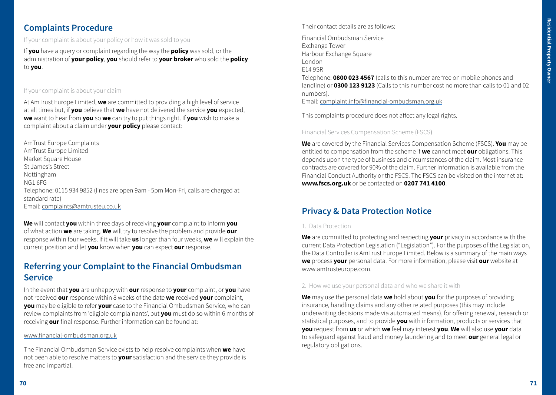# **Complaints Procedure**

If your complaint is about your policy or how it was sold to you

If **you** have a query or complaint regarding the way the **policy** was sold, or the administration of **your policy**, **you** should refer to **your broker** who sold the **policy** to **you**.

# If your complaint is about your claim

At AmTrust Europe Limited, **we** are committed to providing a high level of service at all times but, if **you** believe that **we** have not delivered the service **you** expected, **we** want to hear from **you** so **we** can try to put things right. If **you** wish to make a complaint about a claim under **your policy** please contact:

AmTrust Europe Complaints AmTrust Europe Limited Market Square House St James's Street Nottingham NG1 6FG Telephone: 0115 934 9852 (lines are open 9am - 5pm Mon-Fri, calls are charged at standard rate) Email: complaints@amtrusteu.co.uk

**We** will contact **you** within three days of receiving **your** complaint to inform **you** of what action **we** are taking. **We** will try to resolve the problem and provide **our**  response within four weeks. If it will take **us** longer than four weeks, **we** will explain the current position and let **you** know when **you** can expect **our** response.

# **Referring your Complaint to the Financial Ombudsman Service**

In the event that **you** are unhappy with **our** response to **your** complaint, or **you** have not received **our** response within 8 weeks of the date **we** received **your** complaint, **you** may be eligible to refer **your** case to the Financial Ombudsman Service, who can review complaints from 'eligible complainants', but **you** must do so within 6 months of receiving **our** final response. Further information can be found at:

# www.financial-ombudsman.org.uk

The Financial Ombudsman Service exists to help resolve complaints when **we** have not been able to resolve matters to **your** satisfaction and the service they provide is free and impartial.

Their contact details are as follows:

Financial Ombudsman Service Exchange Tower Harbour Exchange Square London E14 9SR Telephone: **0800 023 4567** (calls to this number are free on mobile phones and

landline) or **0300 123 9123** (Calls to this number cost no more than calls to 01 and 02 numbers).

Email: complaint.info@financial-ombudsman.org.uk

This complaints procedure does not affect any legal rights.

# Financial Services Compensation Scheme (FSCS)

**We** are covered by the Financial Services Compensation Scheme (FSCS). **You** may be entitled to compensation from the scheme if **we** cannot meet **our** obligations. This depends upon the type of business and circumstances of the claim. Most insurance contracts are covered for 90% of the claim. Further information is available from the Financial Conduct Authority or the FSCS. The FSCS can be visited on the internet at: **www.fscs.org.uk** or be contacted on **0207 741 4100**.

# **Privacy & Data Protection Notice**

# 1. Data Protection

**We** are committed to protecting and respecting **your** privacy in accordance with the current Data Protection Legislation ("Legislation"). For the purposes of the Legislation, the Data Controller is AmTrust Europe Limited. Below is a summary of the main ways **we** process **your** personal data. For more information, please visit **our** website at www.amtrusteurope.com.

# 2. How we use your personal data and who we share it with

**We** may use the personal data **we** hold about **you** for the purposes of providing insurance, handling claims and any other related purposes (this may include underwriting decisions made via automated means), for offering renewal, research or statistical purposes, and to provide **you** with information, products or services that **you** request from **us** or which **we** feel may interest **you**. **We** will also use **your** data to safeguard against fraud and money laundering and to meet **our** general legal or regulatory obligations.